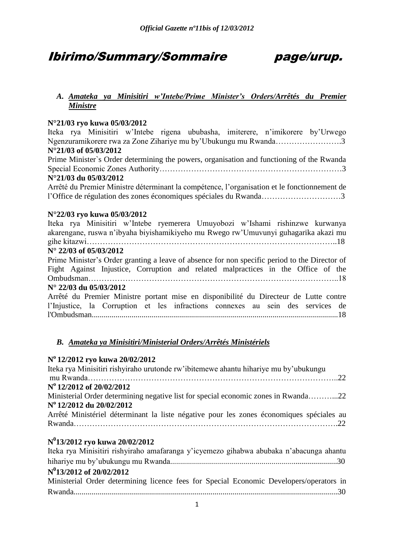### Ibirimo/Summary/Sommaire page/urup.

### *A. Amateka ya Minisitiri w'Intebe/Prime Minister's Orders/Arrêtés du Premier Ministre*

#### **N°21/03 ryo kuwa 05/03/2012**

Iteka rya Minisitiri w"Intebe rigena ububasha, imiterere, n"imikorere by"Urwego Ngenzuramikorere rwa za Zone Zihariye mu by"Ubukungu mu Rwanda…………………….3 **N°21/03 of 05/03/2012**

Prime Minister`s Order determining the powers, organisation and functioning of the Rwanda Special Economic Zones Authority……………………………………………………………3

#### **N°21/03 du 05/03/2012**

Arrêté du Premier Ministre déterminant la compétence, l"organisation et le fonctionnement de l"Office de régulation des zones économiques spéciales du Rwanda…………………………3

#### **N°22/03 ryo kuwa 05/03/2012**

Iteka rya Minisitiri w"Intebe ryemerera Umuyobozi w"Ishami rishinzwe kurwanya akarengane, ruswa n"ibyaha biyishamikiyeho mu Rwego rw"Umuvunyi guhagarika akazi mu gihe kitazwi…………………………………………………………………………………..18

#### **N° 22/03 of 05/03/2012**

Prime Minister"s Order granting a leave of absence for non specific period to the Director of Fight Against Injustice, Corruption and related malpractices in the Office of the Ombudsman…………………………………………………………………………………..18

### **N° 22/03 du 05/03/2012**

Arrêté du Premier Ministre portant mise en disponibilité du Directeur de Lutte contre l"Injustice, la Corruption et les infractions connexes au sein des services de l'Ombudsman............................................................................................................................18

### *B. Amateka ya Minisitiri/Ministerial Orders/Arrêtés Ministériels*

### **N o 12/2012 ryo kuwa 20/02/2012**

| Iteka rya Minisitiri rishyiraho urutonde rw'ibitemewe ahantu hihariye mu by'ubukungu     |
|------------------------------------------------------------------------------------------|
|                                                                                          |
| N <sup>o</sup> 12/2012 of 20/02/2012                                                     |
| Ministerial Order determining negative list for special economic zones in Rwanda22       |
| Nº 12/2012 du 20/02/2012                                                                 |
| Arrêté Ministériel déterminant la liste négative pour les zones économiques spéciales au |
|                                                                                          |
| $N^0$ 13/2012 ryo kuwa 20/02/2012                                                        |
| Iteka rya Minisitiri rishyiraho amafaranga y'icyemezo gihabwa abubaka n'abacunga ahantu  |

| Tieka Tyä Millisitiit Itsityitäitö alliatatalleja y leyennezo ginaowa abubaka II abaculiga allantu |  |
|----------------------------------------------------------------------------------------------------|--|
|                                                                                                    |  |
| $N^0$ 13/2012 of 20/02/2012                                                                        |  |
| Ministerial Order determining licence fees for Special Economic Developers/operators in            |  |
|                                                                                                    |  |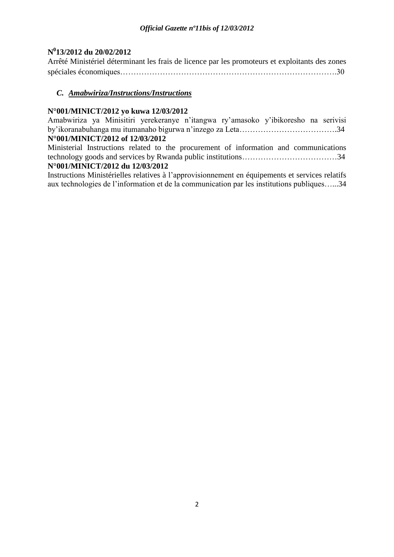### **N 0 13/2012 du 20/02/2012**

Arrêté Ministériel déterminant les frais de licence par les promoteurs et exploitants des zones spéciales économiques……………………………………………………………………….30

### *C. Amabwiriza/Instructions/Instructions*

### **N°001/MINICT/2012 yo kuwa 12/03/2012**

Amabwiriza ya Minisitiri yerekeranye n"itangwa ry"amasoko y"ibikoresho na serivisi by"ikoranabuhanga mu itumanaho bigurwa n"inzego za Leta……………………………….34 **N°001/MINICT/2012 of 12/03/2012**

Ministerial Instructions related to the procurement of information and communications technology goods and services by Rwanda public institutions………………………………34

### **N°001/MINICT/2012 du 12/03/2012**

Instructions Ministérielles relatives à l"approvisionnement en équipements et services relatifs aux technologies de l"information et de la communication par les institutions publiques…...34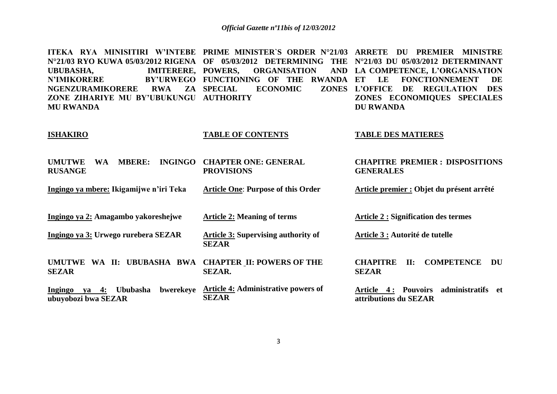**ITEKA RYA MINISITIRI W'INTEBE PRIME MINISTER`S ORDER N°21/03 ARRETE DU PREMIER MINISTRE N°21/03 RYO KUWA 05/03/2012 RIGENA OF 05/03/2012 DETERMINING THE N°21/03 DU 05/03/2012 DETERMINANT**  UBUBASHA. **IMITERERE, POWERS. N'IMIKORERE NGENZURAMIKORERE RWA ZA ZONE ZIHARIYE MU BY'UBUKUNGU AUTHORITY MU RWANDA PORGANISATION** BY'URWEGO FUNCTIONING OF THE RWANDA ET **ECONOMIC LA COMPETENCE, L'ORGANISATION ET LE FONCTIONNEMENT DE L'OFFICE DE REGULATION DES ZONES ECONOMIQUES SPECIALES DU RWANDA** 

#### **ISHAKIRO UMUTWE WA MBERE: INGINGO CHAPTER ONE: GENERAL RUSANGE Ingingo ya mbere: Ikigamijwe n'iri Teka TABLE OF CONTENTS PROVISIONS Article One**: **Purpose of this Order TABLE DES MATIERES CHAPITRE PREMIER : DISPOSITIONS GENERALES Article premier : Objet du présent arrêté**

**Ingingo ya 2: Amagambo yakoreshejwe Ingingo ya 3: Urwego rurebera SEZAR UMUTWE WA II: UBUBASHA BWA CHAPTER II: POWERS OF THE SEZAR Ingingo ya 4: Ububasha bwerekeye Article 4: Administrative powers of ubuyobozi bwa SEZAR Article 2: Meaning of terms Article 3: Supervising authority of SEZAR SEZAR. SEZAR Article 2 : Signification des termes Article 3 : Autorité de tutelle CHAPITRE II: COMPETENCE DU SEZAR Article 4 : Pouvoirs administratifs et attributions du SEZAR**

3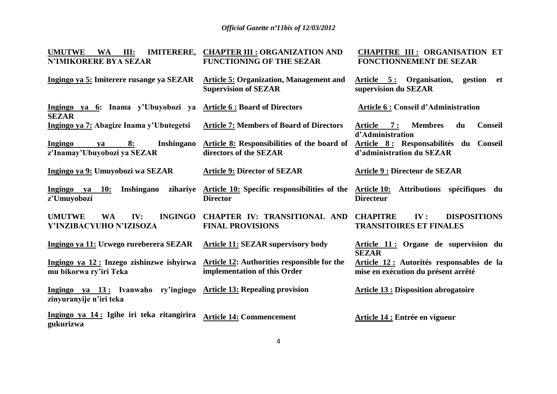| <b>UMUTWE</b><br><b>WA</b><br>III:<br><b>IMITERERE,</b><br><b>N'IMIKORERE BYA SEZAR</b> | <b>CHAPTER III : ORGANIZATION AND</b><br><b>FUNCTIONING OF THE SEZAR</b>      | <b>CHAPITRE III: ORGANISATION ET</b><br><b>FONCTIONNEMENT DE SEZAR</b>           |
|-----------------------------------------------------------------------------------------|-------------------------------------------------------------------------------|----------------------------------------------------------------------------------|
| Ingingo ya 5: Imiterere rusange ya SEZAR                                                | <b>Article 5: Organization, Management and</b><br><b>Supervision of SEZAR</b> | Article 5: Organisation,<br>gestion<br>et<br>supervision du SEZAR                |
| Ingingo ya 6: Inama y'Ubuyobozi ya Article 6 : Board of Directors<br><b>SEZAR</b>       |                                                                               | <b>Article 6: Conseil d'Administration</b>                                       |
| Ingingo ya 7: Abagize Inama y'Ubutegetsi                                                | <b>Article 7: Members of Board of Directors</b>                               | <b>Membres</b><br><b>Conseil</b><br>Article 7:<br>du<br>d'Administration         |
| Ingingo<br>8:<br><b>Inshingano</b><br>ya<br>z'Inamay'Ubuyobozi ya SEZAR                 | Article 8: Responsibilities of the board of<br>directors of the SEZAR         | Article 8: Responsabilités du Conseil<br>d'administration du SEZAR               |
| Ingingo ya 9: Umuyobozi wa SEZAR                                                        | <b>Article 9: Director of SEZAR</b>                                           | <b>Article 9 : Directeur de SEZAR</b>                                            |
| Ingingo ya<br><b>10:</b><br>Inshingano<br>zihariye<br>z'Umuyobozi                       | Article 10: Specific responsibilities of the<br><b>Director</b>               | Article 10: Attributions spécifiques du<br><b>Directeur</b>                      |
| <b>UMUTWE</b><br><b>WA</b><br>IV:<br><b>INGINGO</b><br>Y'INZIBACYUHO N'IZISOZA          | <b>CHAPTER IV: TRANSITIONAL AND</b><br><b>FINAL PROVISIONS</b>                | <b>CHAPITRE</b><br>IV:<br><b>DISPOSITIONS</b><br><b>TRANSITOIRES ET FINALES</b>  |
| Ingingo ya 11: Urwego rureberera SEZAR                                                  | <b>Article 11: SEZAR supervisory body</b>                                     | Article 11: Organe de supervision du<br><b>SEZAR</b>                             |
| Ingingo ya 12: Inzego zishinzwe ishyirwa<br>mu bikorwa ry'iri Teka                      | Article 12: Authorities responsible for the<br>implementation of this Order   | Article 12 : Autorités responsables de la<br>mise en exécution du présent arrêté |
| Ingingo ya 13: Ivanwaho ry'ingingo<br>zinyuranyije n'iri teka                           | <b>Article 13: Repealing provision</b>                                        | <b>Article 13 : Disposition abrogatoire</b>                                      |
| Ingingo ya 14: Igihe iri teka ritangirira<br>gukurizwa                                  | <b>Article 14: Commencement</b>                                               | Article 14 : Entrée en vigueur                                                   |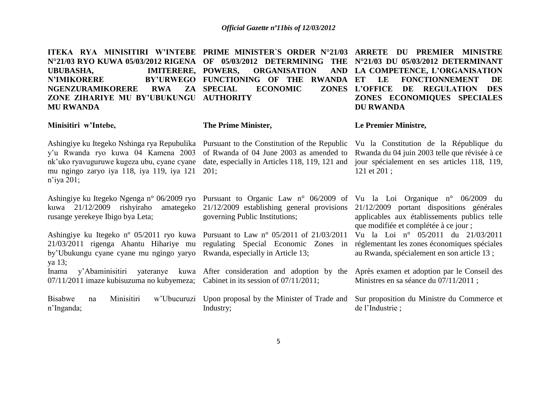| ITEKA RYA MINISITIRI W'INTEBE PRIME MINISTER'S ORDER N°21/03<br>N°21/03 RYO KUWA 05/03/2012 RIGENA OF 05/03/2012 DETERMINING<br><b>IMITERERE, POWERS,</b><br><b>UBUBASHA,</b><br><b>N'IMIKORERE</b><br><b>NGENZURAMIKORERE</b><br><b>RWA</b><br>ZA<br>ZONE ZIHARIYE MU BY'UBUKUNGU<br><b>MU RWANDA</b> | <b>THE</b><br><b>ORGANISATION</b><br><b>AND</b><br>BY'URWEGO FUNCTIONING OF THE<br><b>RWANDA</b><br><b>SPECIAL</b><br><b>ECONOMIC</b><br><b>ZONES</b><br><b>AUTHORITY</b> | <b>ARRETE DU PREMIER MINISTRE</b><br>N°21/03 DU 05/03/2012 DETERMINANT<br>LA COMPETENCE, L'ORGANISATION<br><b>FONCTIONNEMENT</b><br>LE<br>ET<br>DE<br><b>L'OFFICE</b><br>DE<br><b>REGULATION</b><br><b>DES</b><br>ZONES ECONOMIQUES SPECIALES<br><b>DU RWANDA</b> |
|--------------------------------------------------------------------------------------------------------------------------------------------------------------------------------------------------------------------------------------------------------------------------------------------------------|---------------------------------------------------------------------------------------------------------------------------------------------------------------------------|-------------------------------------------------------------------------------------------------------------------------------------------------------------------------------------------------------------------------------------------------------------------|
| Minisitiri w'Intebe,                                                                                                                                                                                                                                                                                   | The Prime Minister,                                                                                                                                                       | Le Premier Ministre,                                                                                                                                                                                                                                              |
| Ashingiye ku Itegeko Nshinga rya Repubulika Pursuant to the Constitution of the Republic<br>y'u Rwanda ryo kuwa 04 Kamena 2003<br>nk'uko ryavuguruwe kugeza ubu, cyane cyane<br>mu ngingo zaryo iya 118, iya 119, iya 121<br>$n$ 'iya 201;                                                             | of Rwanda of 04 June 2003 as amended to<br>date, especially in Articles 118, 119, 121 and<br>201:                                                                         | Vu la Constitution de la République du<br>Rwanda du 04 juin 2003 telle que révisée à ce<br>jour spécialement en ses articles 118, 119,<br>121 et 201;                                                                                                             |
| Ashingiye ku Itegeko Ngenga n° 06/2009 ryo<br>kuwa 21/12/2009 rishyiraho<br>amategeko<br>rusange yerekeye Ibigo bya Leta;                                                                                                                                                                              | $21/12/2009$ establishing general provisions<br>governing Public Institutions;                                                                                            | Pursuant to Organic Law n° 06/2009 of Vu la Loi Organique n° 06/2009 du<br>21/12/2009 portant dispositions générales<br>applicables aux établissements publics telle<br>que modifiée et complétée à ce jour ;                                                     |
| Ashingiye ku Itegeko n° 05/2011 ryo kuwa Pursuant to Law n° 05/2011 of 21/03/2011<br>21/03/2011 rigenga Ahantu Hihariye mu regulating Special Economic Zones in<br>by'Ubukungu cyane cyane mu ngingo yaryo Rwanda, especially in Article 13;<br>ya 13;                                                 |                                                                                                                                                                           | Vu la Loi nº 05/2011 du 21/03/2011<br>réglementant les zones économiques spéciales<br>au Rwanda, spécialement en son article 13 ;                                                                                                                                 |
| y'Abaminisitiri<br>Inama<br>07/11/2011 imaze kubisuzuma no kubyemeza; Cabinet in its session of 07/11/2011;                                                                                                                                                                                            | vateranye kuwa After consideration and adoption by the                                                                                                                    | Après examen et adoption par le Conseil des<br>Ministres en sa séance du 07/11/2011 ;                                                                                                                                                                             |
| Minisitiri<br><b>Bisabwe</b><br>na<br>n'Inganda;                                                                                                                                                                                                                                                       | w'Ubucuruzi Upon proposal by the Minister of Trade and<br>Industry;                                                                                                       | Sur proposition du Ministre du Commerce et<br>de l'Industrie;                                                                                                                                                                                                     |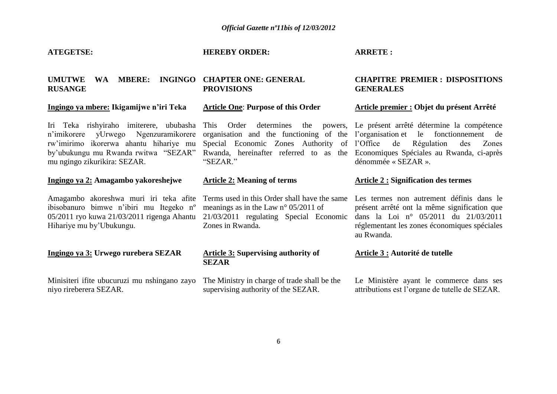#### **ATEGETSE:**

#### **HEREBY ORDER:**

**ARRETE :** 

#### **UMUTWE WA MBERE: INGINGO CHAPTER ONE: GENERAL RUSANGE PROVISIONS**

#### **Ingingo ya mbere: Ikigamijwe n'iri Teka**

Iri Teka rishyiraho imiterere, ububasha This Order determines the powers, Le présent arrêté détermine la compétence n"imikorere yUrwego Ngenzuramikorere rw"imirimo ikorerwa ahantu hihariye mu by"ubukungu mu Rwanda rwitwa "SEZAR" mu ngingo zikurikira: SEZAR.

#### **Ingingo ya 2: Amagambo yakoreshejwe**

Amagambo akoreshwa muri iri teka afite ibisobanuro bimwe n"ibiri mu Itegeko nº 05/2011 ryo kuwa 21/03/2011 rigenga Ahantu Hihariye mu by"Ubukungu.

#### **Ingingo ya 3: Urwego rurebera SEZAR**

Minisiteri ifite ubucuruzi mu nshingano zayo niyo rireberera SEZAR.

"SEZAR"

**Article One**: **Purpose of this Order**

#### **Article 2: Meaning of terms**

Terms used in this Order shall have the same meanings as in the Law n° 05/2011 of 21/03/2011 regulating Special Economic Zones in Rwanda.

#### **Article 3: Supervising authority of SEZAR**

The Ministry in charge of trade shall be the supervising authority of the SEZAR.

#### **CHAPITRE PREMIER : DISPOSITIONS GENERALES**

#### **Article premier : Objet du présent Arrêté**

organisation and the functioning of the l"organisation et le fonctionnement de Special Economic Zones Authority of l"Office de Régulation des Zones Rwanda, hereinafter referred to as the Economiques Spéciales au Rwanda, ci-après dénommée « SEZAR ».

#### **Article 2 : Signification des termes**

Les termes non autrement définis dans le présent arrêté ont la même signification que dans la Loi n° 05/2011 du 21/03/2011 réglementant les zones économiques spéciales au Rwanda.

#### **Article 3 : Autorité de tutelle**

Le Ministère ayant le commerce dans ses attributions est l"organe de tutelle de SEZAR.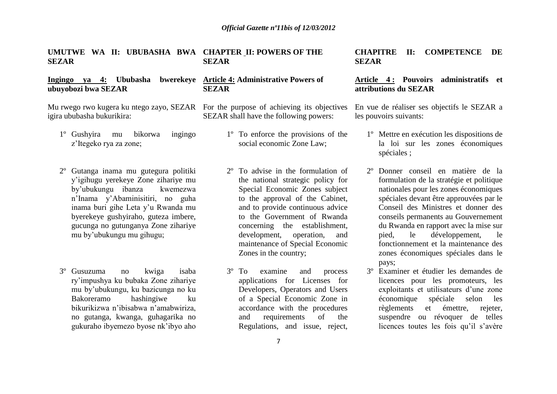#### **UMUTWE WA II: UBUBASHA BWA CHAPTER II: POWERS OF THE SEZAR SEZAR**

#### **Ingingo ya 4: Ububasha bwerekeye Article 4: Administrative Powers of ubuyobozi bwa SEZAR SEZAR**

Mu rwego rwo kugera ku ntego zayo, SEZAR For the purpose of achieving its objectives igira ububasha bukurikira:

- 1º Gushyira mu bikorwa ingingo z"Itegeko rya za zone;
- 2º Gutanga inama mu gutegura politiki y"igihugu yerekeye Zone zihariye mu by"ubukungu ibanza kwemezwa n"Inama y"Abaminisitiri, no guha inama buri gihe Leta y"u Rwanda mu byerekeye gushyiraho, guteza imbere, gucunga no gutunganya Zone zihariye mu by"ubukungu mu gihugu;
- 3º Gusuzuma no kwiga isaba ry"impushya ku bubaka Zone zihariye mu by"ubukungu, ku bazicunga no ku Bakoreramo hashingiwe ku bikurikizwa n"ibisabwa n"amabwiriza, no gutanga, kwanga, guhagarika no gukuraho ibyemezo byose nk"ibyo aho

SEZAR shall have the following powers:

- 1º To enforce the provisions of the social economic Zone Law;
- 2º To advise in the formulation of the national strategic policy for Special Economic Zones subject to the approval of the Cabinet, and to provide continuous advice to the Government of Rwanda concerning the establishment, development, operation, and maintenance of Special Economic Zones in the country;
- 3º To examine and process applications for Licenses for Developers, Operators and Users of a Special Economic Zone in accordance with the procedures and requirements of the Regulations, and issue, reject,

**CHAPITRE II: COMPETENCE DE SEZAR** 

#### **Article 4 : Pouvoirs administratifs et attributions du SEZAR**

En vue de réaliser ses objectifs le SEZAR a les pouvoirs suivants:

- 1º Mettre en exécution les dispositions de la loi sur les zones économiques spéciales ;
- Donner conseil en matière de la formulation de la stratégie et politique nationales pour les zones économiques spéciales devant être approuvées par le Conseil des Ministres et donner des conseils permanents au Gouvernement du Rwanda en rapport avec la mise sur pied, le développement, le fonctionnement et la maintenance des zones économiques spéciales dans le pays;
- 3º Examiner et étudier les demandes de licences pour les promoteurs, les exploitants et utilisateurs d"une zone économique spéciale selon les règlements et émettre, rejeter, suspendre ou révoquer de telles licences toutes les fois qu'il s'avère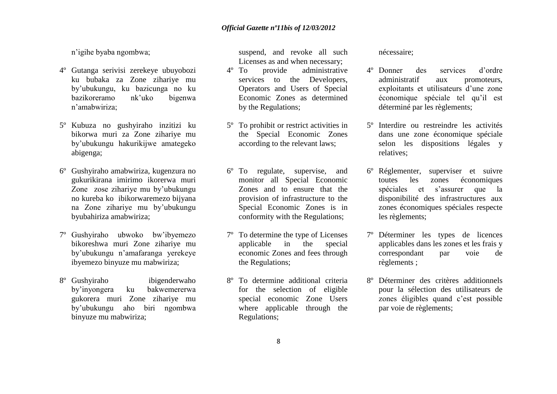n"igihe byaba ngombwa;

- 4º Gutanga serivisi zerekeye ubuyobozi ku bubaka za Zone zihariye mu by"ubukungu, ku bazicunga no ku bazikoreramo nk"uko bigenwa n"amabwiriza;
- 5º Kubuza no gushyiraho inzitizi ku bikorwa muri za Zone zihariye mu by"ubukungu hakurikijwe amategeko abigenga;
- 6º Gushyiraho amabwiriza, kugenzura no gukurikirana imirimo ikorerwa muri Zone zose zihariye mu by"ubukungu no kureba ko ibikorwaremezo bijyana na Zone zihariye mu by"ubukungu byubahiriza amabwiriza;
- 7º Gushyiraho ubwoko bw"ibyemezo bikoreshwa muri Zone zihariye mu by"ubukungu n"amafaranga yerekeye ibyemezo binyuze mu mabwiriza;
- 8º Gushyiraho ibigenderwaho by"inyongera ku bakwemererwa gukorera muri Zone zihariye mu by"ubukungu aho biri ngombwa binyuze mu mabwiriza;

suspend, and revoke all such Licenses as and when necessary;

- 4º To provide administrative services to the Developers, Operators and Users of Special Economic Zones as determined by the Regulations;
- 5º To prohibit or restrict activities in the Special Economic Zones according to the relevant laws;
- 6º To regulate, supervise, and monitor all Special Economic Zones and to ensure that the provision of infrastructure to the Special Economic Zones is in conformity with the Regulations;
- 7º To determine the type of Licenses applicable in the special economic Zones and fees through the Regulations;
- 8º To determine additional criteria for the selection of eligible special economic Zone Users where applicable through the Regulations;

nécessaire;

- 4º Donner des services d"ordre administratif aux promoteurs, exploitants et utilisateurs d"une zone économique spéciale tel qu"il est déterminé par les règlements;
- 5º Interdire ou restreindre les activités dans une zone économique spéciale selon les dispositions légales y relatives;
- Réglementer, superviser et suivre toutes les zones économiques spéciales et s'assurer que la disponibilité des infrastructures aux zones économiques spéciales respecte les règlements;
- 7º Déterminer les types de licences applicables dans les zones et les frais y correspondant par voie de règlements ;
- Déterminer des critères additionnels pour la sélection des utilisateurs de zones éligibles quand c"est possible par voie de règlements;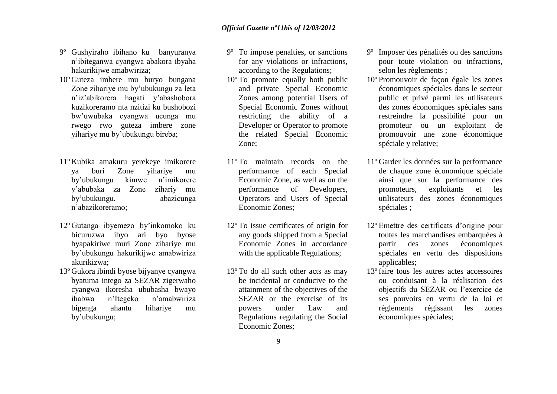- 9º Gushyiraho ibihano ku banyuranya n"ibiteganwa cyangwa abakora ibyaha hakurikijwe amabwiriza;
- 10º Guteza imbere mu buryo bungana Zone zihariye mu by"ubukungu za leta n"iz"abikorera hagati y"abashobora kuzikoreramo nta nzitizi ku bushobozi bw"uwubaka cyangwa ucunga mu rwego rwo guteza imbere zone yihariye mu by"ubukungu bireba;
- 11º Kubika amakuru yerekeye imikorere ya buri Zone yihariye mu by"ubukungu kimwe n"imikorere y"abubaka za Zone zihariy mu by"ubukungu, abazicunga n"abazikoreramo;
- 12º Gutanga ibyemezo by"inkomoko ku bicuruzwa ibyo ari byo byose byapakiriwe muri Zone zihariye mu by"ubukungu hakurikijwe amabwiriza akurikizwa;
- 13º Gukora ibindi byose bijyanye cyangwa byatuma intego za SEZAR zigerwaho cyangwa ikoresha ububasha bwayo ihabwa n"Itegeko n"amabwiriza bigenga ahantu hihariye mu by"ubukungu;
- 9º To impose penalties, or sanctions for any violations or infractions, according to the Regulations;
- 10º To promote equally both public and private Special Economic Zones among potential Users of Special Economic Zones without restricting the ability of a Developer or Operator to promote the related Special Economic Zone;
- 11º To maintain records on the performance of each Special Economic Zone, as well as on the performance of Developers, Operators and Users of Special Economic Zones;
- 12º To issue certificates of origin for any goods shipped from a Special Economic Zones in accordance with the applicable Regulations:
- 13º To do all such other acts as may be incidental or conducive to the attainment of the objectives of the SEZAR or the exercise of its powers under Law and Regulations regulating the Social Economic Zones;
- 9º Imposer des pénalités ou des sanctions pour toute violation ou infractions, selon les règlements ;
- 10º Promouvoir de façon égale les zones économiques spéciales dans le secteur public et privé parmi les utilisateurs des zones économiques spéciales sans restreindre la possibilité pour un promoteur ou un exploitant de promouvoir une zone économique spéciale y relative;
- 11º Garder les données sur la performance de chaque zone économique spéciale ainsi que sur la performance des promoteurs, exploitants et les utilisateurs des zones économiques spéciales ;
- 12º Emettre des certificats d"origine pour toutes les marchandises embarquées à partir des zones économiques spéciales en vertu des dispositions applicables;
- 13º faire tous les autres actes accessoires ou conduisant à la réalisation des objectifs du SEZAR ou l"exercice de ses pouvoirs en vertu de la loi et règlements régissant les zones économiques spéciales;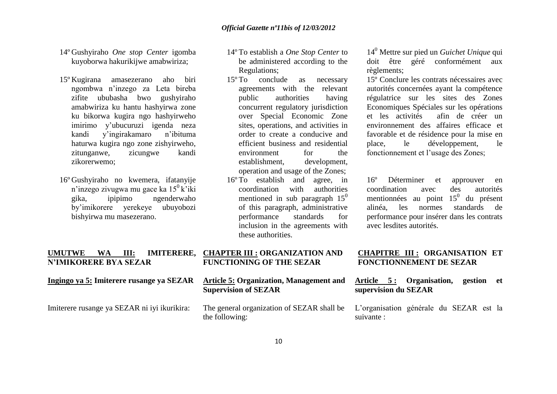- 14º Gushyiraho *One stop Center* igomba kuyoborwa hakurikijwe amabwiriza;
- 15º Kugirana amasezerano aho biri ngombwa n"inzego za Leta bireba zifite ububasha bwo gushyiraho amabwiriza ku hantu hashyirwa zone ku bikorwa kugira ngo hashyirweho imirimo y"ubucuruzi igenda neza kandi y"ingirakamaro n"ibituma haturwa kugira ngo zone zishyirweho, zitunganwe, zicungwe kandi zikorerwemo;
- 16º Gushyiraho no kwemera, ifatanyije n'inzego zivugwa mu gace ka  $15^{\circ}$ k'iki gika, ipipimo ngenderwaho by"imikorere yerekeye ubuyobozi bishyirwa mu masezerano.
- 14º To establish a *One Stop Center* to be administered according to the Regulations;
- 15º To conclude as necessary agreements with the relevant public authorities having concurrent regulatory jurisdiction over Special Economic Zone sites, operations, and activities in order to create a conducive and efficient business and residential environment for the establishment, development, operation and usage of the Zones;
- 16º To establish and agree, in coordination with authorities mentioned in sub paragraph  $15<sup>0</sup>$ of this paragraph, administrative performance standards for inclusion in the agreements with these authorities.

14<sup>0</sup> Mettre sur pied un *Guichet Unique* qui doit être géré conformément aux règlements;

15º Conclure les contrats nécessaires avec autorités concernées ayant la compétence régulatrice sur les sites des Zones Economiques Spéciales sur les opérations et les activités afin de créer un environnement des affaires efficace et favorable et de résidence pour la mise en place, le développement, le fonctionnement et l"usage des Zones;

16º Déterminer et approuver en coordination avec des autorités mentionnées au point  $15^0$  du présent alinéa, les normes standards de performance pour insérer dans les contrats avec lesdites autorités.

#### **UMUTWE WA III: IMITERERE, N'IMIKORERE BYA SEZAR Ingingo ya 5: Imiterere rusange ya SEZAR CHAPTER III : ORGANIZATION AND FUNCTIONING OF THE SEZAR Article 5: Organization, Management and Supervision of SEZAR CHAPITRE III : ORGANISATION ET FONCTIONNEMENT DE SEZAR Article 5 : Organisation, gestion et supervision du SEZAR**

Imiterere rusange ya SEZAR ni iyi ikurikira: The general organization of SEZAR shall be the following:

L"organisation générale du SEZAR est la suivante :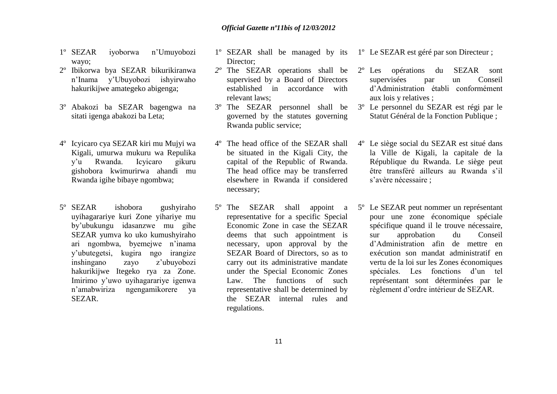- 1º SEZAR iyoborwa n"Umuyobozi wayo;
- 2º Ibikorwa bya SEZAR bikurikiranwa n"Inama y"Ubuyobozi ishyirwaho hakurikijwe amategeko abigenga;
- 3º Abakozi ba SEZAR bagengwa na sitati igenga abakozi ba Leta;
- 4º Icyicaro cya SEZAR kiri mu Mujyi wa Kigali, umurwa mukuru wa Repulika y"u Rwanda. Icyicaro gikuru gishobora kwimurirwa ahandi mu Rwanda igihe bibaye ngombwa;
- 5º SEZAR ishobora gushyiraho uyihagarariye kuri Zone yihariye mu by"ubukungu idasanzwe mu gihe SEZAR yumva ko uko kumushyiraho ari ngombwa, byemejwe n"inama y"ubutegetsi, kugira ngo irangize inshingano zayo z"ubuyobozi hakurikijwe Itegeko rya za Zone. Imirimo y"uwo uyihagarariye igenwa n"amabwiriza ngengamikorere ya SEZAR.
- 1º SEZAR shall be managed by its 1º Le SEZAR est géré par son Directeur ; Director;
- *2º* The SEZAR operations shall be supervised by a Board of Directors established in accordance with relevant laws;
- 3º The SEZAR personnel shall be governed by the statutes governing Rwanda public service;
- 4º The head office of the SEZAR shall be situated in the Kigali City, the capital of the Republic of Rwanda. The head office may be transferred elsewhere in Rwanda if considered necessary;
- 5º The SEZAR shall appoint a representative for a specific Special Economic Zone in case the SEZAR deems that such appointment is necessary, upon approval by the SEZAR Board of Directors, so as to carry out its administrative mandate under the Special Economic Zones Law. The functions of such representative shall be determined by the SEZAR internal rules and regulations.

- 2º Les opérations du SEZAR sont supervisées par un Conseil d"Administration établi conformément aux lois y relatives ;
- 3º Le personnel du SEZAR est régi par le Statut Général de la Fonction Publique ;
- 4º Le siège social du SEZAR est situé dans la Ville de Kigali, la capitale de la République du Rwanda. Le siège peut être transféré ailleurs au Rwanda s'il s'avère nécessaire ;
- 5º Le SEZAR peut nommer un représentant pour une zone économique spéciale spécifique quand il le trouve nécessaire, sur approbation du Conseil d"Administration afin de mettre en exécution son mandat administratif en vertu de la loi sur les Zones économiques spéciales. Les fonctions d"un tel représentant sont déterminées par le règlement d"ordre intérieur de SEZAR.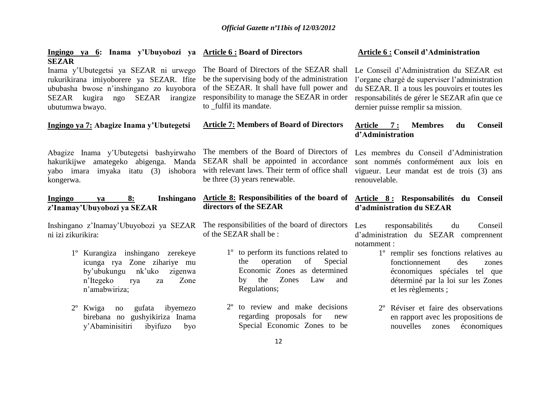| Ingingo ya 6: Inama y'Ubuyobozi ya Article 6 : Board of Directors<br><b>SEZAR</b>                                                                                                        |                                                                                                                                                                                                                    | <b>Article 6: Conseil d'Administration</b>                                                                                                                                                                                          |
|------------------------------------------------------------------------------------------------------------------------------------------------------------------------------------------|--------------------------------------------------------------------------------------------------------------------------------------------------------------------------------------------------------------------|-------------------------------------------------------------------------------------------------------------------------------------------------------------------------------------------------------------------------------------|
| Inama y'Ubutegetsi ya SEZAR ni urwego<br>rukurikirana imiyoborere ya SEZAR. Ifite<br>ububasha bwose n'inshingano zo kuyobora<br>ngo SEZAR<br>irangize<br>SEZAR kugira<br>ubutumwa bwayo. | The Board of Directors of the SEZAR shall<br>be the supervising body of the administration<br>of the SEZAR. It shall have full power and<br>responsibility to manage the SEZAR in order<br>to _fulfil its mandate. | Le Conseil d'Administration du SEZAR est<br>l'organe chargé de superviser l'administration<br>du SEZAR. Il a tous les pouvoirs et toutes les<br>responsabilités de gérer le SEZAR afin que ce<br>dernier puisse remplir sa mission. |
| Ingingo ya 7: Abagize Inama y'Ubutegetsi                                                                                                                                                 | <b>Article 7: Members of Board of Directors</b>                                                                                                                                                                    | Article 7:<br><b>Membres</b><br><b>Conseil</b><br>du<br>d'Administration                                                                                                                                                            |
| Abagize Inama y'Ubutegetsi bashyirwaho<br>hakurikijwe amategeko abigenga. Manda<br>yabo imara imyaka itatu (3)<br>ishobora<br>kongerwa.                                                  | The members of the Board of Directors of<br>SEZAR shall be appointed in accordance<br>with relevant laws. Their term of office shall<br>be three (3) years renewable.                                              | Les membres du Conseil d'Administration<br>sont nommés conformément aux lois en<br>vigueur. Leur mandat est de trois (3) ans<br>renouvelable.                                                                                       |
| Inshingano<br>Ingingo<br>8:<br>va                                                                                                                                                        | Article 8: Responsibilities of the board of                                                                                                                                                                        | Article 8: Responsabilités du Conseil                                                                                                                                                                                               |
| z'Inamay'Ubuyobozi ya SEZAR                                                                                                                                                              | directors of the SEZAR                                                                                                                                                                                             | d'administration du SEZAR                                                                                                                                                                                                           |
| Inshingano z'Inamay'Ubuyobozi ya SEZAR<br>ni izi zikurikira:                                                                                                                             | The responsibilities of the board of directors<br>of the SEZAR shall be:                                                                                                                                           | Les<br>responsabilités<br>du<br>Conseil<br>d'administration du SEZAR comprennent                                                                                                                                                    |
| 1° Kurangiza inshingano zerekeye<br>icunga rya Zone zihariye mu<br>by'ubukungu<br>nk'uko<br>zigenwa<br>Zone<br>n'Itegeko<br>rya<br>za<br>n'amabwiriza;                                   | 1 <sup>°</sup> to perform its functions related to<br>operation<br>of<br>Special<br>the<br>Economic Zones as determined<br>the<br>Zones<br>Law<br>by<br>and<br>Regulations;                                        | notamment :<br>1° remplir ses fonctions relatives au<br>des<br>fonctionnement<br>zones<br>économiques spéciales tel que<br>déterminé par la loi sur les Zones<br>et les règlements ;                                                |
| ibyemezo<br>$2^{\circ}$<br>Kwiga<br>gufata<br>no<br>birebana no gushyikiriza Inama<br>y'Abaminisitiri<br>ibyifuzo<br>byo                                                                 | $2^{\circ}$<br>to review and make decisions<br>regarding proposals for<br>new<br>Special Economic Zones to be                                                                                                      | 2 <sup>°</sup> Réviser et faire des observations<br>en rapport avec les propositions de<br>nouvelles<br>économiques<br>zones                                                                                                        |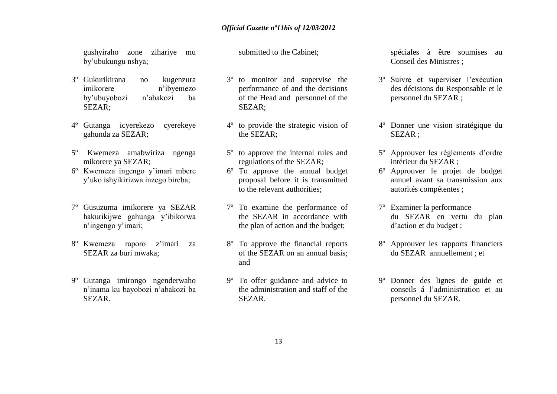gushyiraho zone zihariye mu by"ubukungu nshya;

- 3º Gukurikirana no kugenzura imikorere n"ibyemezo by"ubuyobozi n"abakozi ba SEZAR;
- 4º Gutanga icyerekezo cyerekeye gahunda za SEZAR;
- 5º Kwemeza amabwiriza ngenga mikorere ya SEZAR;
- 6º Kwemeza ingengo y"imari mbere y"uko ishyikirizwa inzego bireba;
- 7º Gusuzuma imikorere ya SEZAR hakurikijwe gahunga y"ibikorwa n'ingengo y'imari;
- 8º Kwemeza raporo z"imari za SEZAR za buri mwaka;
- 9º Gutanga imirongo ngenderwaho n"inama ku bayobozi n"abakozi ba SEZAR.

submitted to the Cabinet;

- 3º to monitor and supervise the performance of and the decisions of the Head and personnel of the SEZAR;
- 4º to provide the strategic vision of the SEZAR;
- 5º to approve the internal rules and regulations of the SEZAR;
- 6º To approve the annual budget proposal before it is transmitted to the relevant authorities;
- 7º To examine the performance of the SEZAR in accordance with the plan of action and the budget;
- 8º To approve the financial reports of the SEZAR on an annual basis; and
- 9º To offer guidance and advice to the administration and staff of the SEZAR.

spéciales à être soumises au Conseil des Ministres ;

- 3º Suivre et superviser l"exécution des décisions du Responsable et le personnel du SEZAR ;
- 4º Donner une vision stratégique du SEZAR ;
- 5º Approuver les règlements d"ordre intérieur du SEZAR ;
- 6º Approuver le projet de budget annuel avant sa transmission aux autorités compétentes ;
- 7º Examiner la performance du SEZAR en vertu du plan d"action et du budget ;
- 8º Approuver les rapports financiers du SEZAR annuellement ; et
- 9º Donner des lignes de guide et conseils á l"administration et au personnel du SEZAR.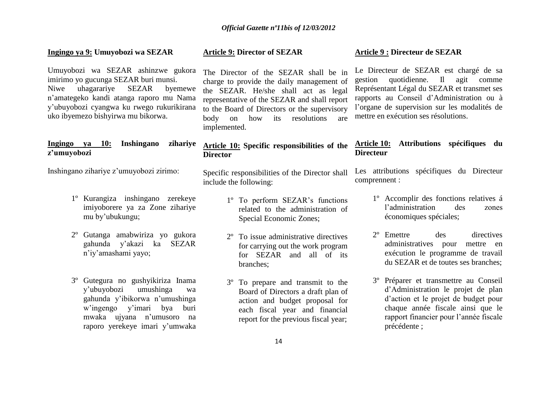#### **Ingingo ya 9: Umuyobozi wa SEZAR**

Umuyobozi wa SEZAR ashinzwe gukora imirimo yo gucunga SEZAR buri munsi. Niwe uhagarariye SEZAR byemewe n"amategeko kandi atanga raporo mu Nama y"ubuyobozi cyangwa ku rwego rukurikirana uko ibyemezo bishyirwa mu bikorwa.

#### **Ingingo ya 10: Inshingano zihariye z'umuyobozi**

Inshingano zihariye z"umuyobozi zirimo:

- 1º Kurangiza inshingano zerekeye imiyoborere ya za Zone zihariye mu by"ubukungu;
- 2º Gutanga amabwiriza yo gukora gahunda y"akazi ka SEZAR n"iy"amashami yayo;
- 3º Gutegura no gushyikiriza Inama y"ubuyobozi umushinga wa gahunda y"ibikorwa n"umushinga w"ingengo y"imari bya buri mwaka ujyana n"umusoro na raporo yerekeye imari y"umwaka

#### **Article 9: Director of SEZAR**

The Director of the SEZAR shall be in charge to provide the daily management of the SEZAR. He/she shall act as legal representative of the SEZAR and shall report to the Board of Directors or the supervisory body on how its resolutions are implemented.

#### **Article 10: Specific responsibilities of the Director**

Specific responsibilities of the Director shall include the following:

- 1º To perform SEZAR"s functions related to the administration of Special Economic Zones;
- 2º To issue administrative directives for carrying out the work program for SEZAR and all of its branches;
- 3º To prepare and transmit to the Board of Directors a draft plan of action and budget proposal for each fiscal year and financial report for the previous fiscal year;

#### **Article 9 : Directeur de SEZAR**

Le Directeur de SEZAR est chargé de sa gestion quotidienne. Il agit comme Représentant Légal du SEZAR et transmet ses rapports au Conseil d"Administration ou à l"organe de supervision sur les modalités de mettre en exécution ses résolutions.

#### **Article 10: Attributions spécifiques du Directeur**

Les attributions spécifiques du Directeur comprennent :

- 1º Accomplir des fonctions relatives á l"administration des zones économiques spéciales;
- 2º Emettre des directives administratives pour mettre en exécution le programme de travail du SEZAR et de toutes ses branches;
- 3º Préparer et transmettre au Conseil d"Administration le projet de plan d"action et le projet de budget pour chaque année fiscale ainsi que le rapport financier pour l"année fiscale précédente ;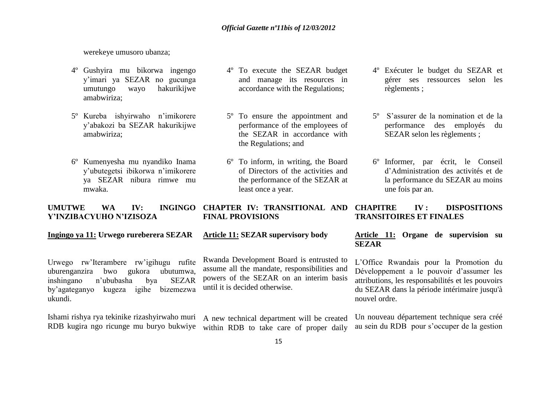werekeye umusoro ubanza;

- 4º Gushyira mu bikorwa ingengo y"imari ya SEZAR no gucunga umutungo wayo hakurikijwe amabwiriza;
- 5º Kureba ishyirwaho n"imikorere y"abakozi ba SEZAR hakurikijwe amabwiriza;
- 6º Kumenyesha mu nyandiko Inama y"ubutegetsi ibikorwa n"imikorere ya SEZAR nibura rimwe mu mwaka.
- 4º To execute the SEZAR budget and manage its resources in accordance with the Regulations;
- 5º To ensure the appointment and performance of the employees of the SEZAR in accordance with the Regulations; and
- 6º To inform, in writing, the Board of Directors of the activities and the performance of the SEZAR at least once a year.
- 4º Exécuter le budget du SEZAR et gérer ses ressources selon les règlements ;
- 5º S"assurer de la nomination et de la performance des employés du SEZAR selon les règlements ;
- 6º Informer, par écrit, le Conseil d"Administration des activités et de la performance du SEZAR au moins une fois par an.

#### **UMUTWE WA IV: INGINGO Y'INZIBACYUHO N'IZISOZA CHAPTER IV: TRANSITIONAL AND FINAL PROVISIONS CHAPITRE IV : DISPOSITIONS TRANSITOIRES ET FINALES**

#### **Ingingo ya 11: Urwego rureberera SEZAR**

Urwego rw"Iterambere rw"igihugu rufite uburenganzira bwo gukora ubutumwa, inshingano n"ububasha bya SEZAR by"agateganyo kugeza igihe bizemezwa ukundi.

Ishami rishya rya tekinike rizashyirwaho muri RDB kugira ngo ricunge mu buryo bukwiye

#### **Article 11: SEZAR supervisory body**

Rwanda Development Board is entrusted to assume all the mandate, responsibilities and powers of the SEZAR on an interim basis until it is decided otherwise.

A new technical department will be created within RDB to take care of proper daily

#### **Article 11: Organe de supervision su SEZAR**

L"Office Rwandais pour la Promotion du Développement a le pouvoir d"assumer les attributions, les responsabilités et les pouvoirs du SEZAR dans la période intérimaire jusqu'à nouvel ordre.

Un nouveau département technique sera créé au sein du RDB pour s"occuper de la gestion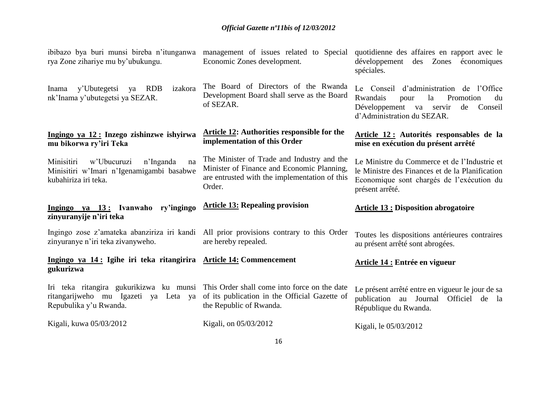| ibibazo bya buri munsi bireba n'itunganwa<br>rya Zone zihariye mu by'ubukungu.                                               | management of issues related to Special<br>Economic Zones development.                                                                              | quotidienne des affaires en rapport avec le<br>développement<br>des Zones économiques<br>spéciales.                                                             |
|------------------------------------------------------------------------------------------------------------------------------|-----------------------------------------------------------------------------------------------------------------------------------------------------|-----------------------------------------------------------------------------------------------------------------------------------------------------------------|
| y'Ubutegetsi<br><b>RDB</b><br>izakora<br>Inama<br>ya<br>nk'Inama y'ubutegetsi ya SEZAR.                                      | The Board of Directors of the Rwanda<br>Development Board shall serve as the Board<br>of SEZAR.                                                     | Le Conseil d'administration de l'Office<br>Rwandais<br>Promotion<br>la<br>du<br>pour<br>Développement va servir<br>de<br>Conseil<br>d'Administration du SEZAR.  |
| Ingingo ya 12: Inzego zishinzwe ishyirwa<br>mu bikorwa ry'iri Teka                                                           | <b>Article 12: Authorities responsible for the</b><br>implementation of this Order                                                                  | Article 12 : Autorités responsables de la<br>mise en exécution du présent arrêté                                                                                |
| Minisitiri<br>w'Ubucuruzi<br>n'Inganda<br>na<br>Minisitiri w'Imari n'Igenamigambi basabwe<br>kubahiriza iri teka.            | The Minister of Trade and Industry and the<br>Minister of Finance and Economic Planning,<br>are entrusted with the implementation of this<br>Order. | Le Ministre du Commerce et de l'Industrie et<br>le Ministre des Finances et de la Planification<br>Economique sont chargés de l'exécution du<br>présent arrêté. |
| Ingingo ya 13: Ivanwaho ry'ingingo<br>zinyuranyije n'iri teka                                                                | <b>Article 13: Repealing provision</b>                                                                                                              | <b>Article 13 : Disposition abrogatoire</b>                                                                                                                     |
| Ingingo zose z'amateka abanziriza iri kandi All prior provisions contrary to this Order<br>zinyuranye n'iri teka zivanyweho. | are hereby repealed.                                                                                                                                | Toutes les dispositions antérieures contraires<br>au présent arrêté sont abrogées.                                                                              |
| Ingingo ya 14: Igihe iri teka ritangirira Article 14: Commencement<br>gukurizwa                                              |                                                                                                                                                     | <b>Article 14 : Entrée en vigueur</b>                                                                                                                           |
| Iri teka ritangira gukurikizwa ku munsi This Order shall come into force on the date<br>ritangarijweho mu Igazeti ya Leta ya | of its publication in the Official Gazette of                                                                                                       | Le présent arrêté entre en vigueur le jour de sa<br>publication au Journal Officiel de la                                                                       |
| Repubulika y'u Rwanda.                                                                                                       | the Republic of Rwanda.                                                                                                                             | République du Rwanda.                                                                                                                                           |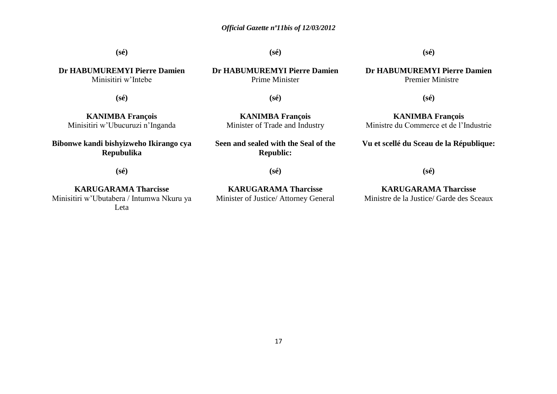**(sé) Dr HABUMUREMYI Pierre Damien** Minisitiri w"Intebe **(sé) Dr HABUMUREMYI Pierre Damien** Prime Minister **(sé) Dr HABUMUREMYI Pierre Damien** Premier Ministre **(sé) KANIMBA François** Minisitiri w"Ubucuruzi n"Inganda **(sé) KANIMBA François** Minister of Trade and Industry **(sé) KANIMBA François** Ministre du Commerce et de l"Industrie **Bibonwe kandi bishyizweho Ikirango cya Repubulika Seen and sealed with the Seal of the Republic: Vu et scellé du Sceau de la République:**

**(sé)**

**KARUGARAMA Tharcisse** Minisitiri w"Ubutabera / Intumwa Nkuru ya Leta

**KARUGARAMA Tharcisse** Minister of Justice/ Attorney General

**(sé)**

**KARUGARAMA Tharcisse** Ministre de la Justice/ Garde des Sceaux

**(sé)**

17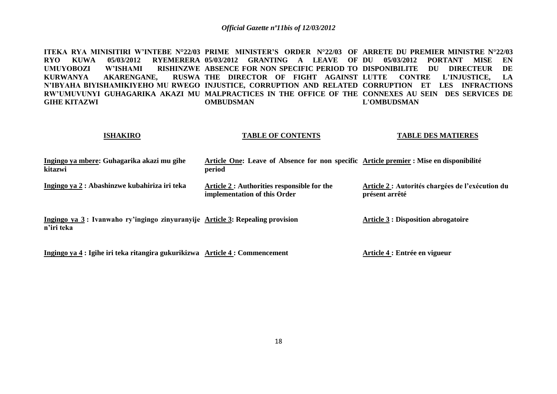**ITEKA RYA MINISITIRI W'INTEBE N°22/03 PRIME MINISTER'S ORDER N°22/03 OF ARRETE DU PREMIER MINISTRE N°22/03 RYO KUWA 05/03/2012 RYEMERERA 05/03/2012 GRANTING A LEAVE OF DU 05/03/2012 PORTANT MISE EN UMUYOBOZI W'ISHAMI RISHINZWE ABSENCE FOR NON SPECIFIC PERIOD TO DISPONIBILITE DU DIRECTEUR DE**  KURWANYA AKARENGANE. **N'IBYAHA BIYISHAMIKIYEHO MU RWEGO INJUSTICE, CORRUPTION AND RELATED CORRUPTION ET LES INFRACTIONS RW'UMUVUNYI GUHAGARIKA AKAZI MU MALPRACTICES IN THE OFFICE OF THE CONNEXES AU SEIN DES SERVICES DE GIHE KITAZWI THE DIRECTOR OF FIGHT AGAINST LUTTE CONTRE L'INJUSTICE, LA OMBUDSMAN L'OMBUDSMAN**

#### **ISHAKIRO**

#### **TABLE OF CONTENTS**

#### **TABLE DES MATIERES**

| Ingingo ya mbere: Guhagarika akazi mu gihe<br>kitazwi                                       | Article One: Leave of Absence for non specific Article premier : Mise en disponibilité<br>period |                                                                    |
|---------------------------------------------------------------------------------------------|--------------------------------------------------------------------------------------------------|--------------------------------------------------------------------|
| Ingingo ya 2 : Abashinzwe kubahiriza iri teka                                               | Article 2 : Authorities responsible for the<br>implementation of this Order                      | Article 2 : Autorités chargées de l'exécution du<br>présent arrêté |
| Ingingo ya 3: Ivanwaho ry'ingingo zinyuranyije Article 3: Repealing provision<br>n'iri teka |                                                                                                  | <b>Article 3 : Disposition abrogatoire</b>                         |

**Ingingo ya 4 : Igihe iri teka ritangira gukurikizwa Article 4 : Commencement**

**Article 4 : Entrée en vigueur**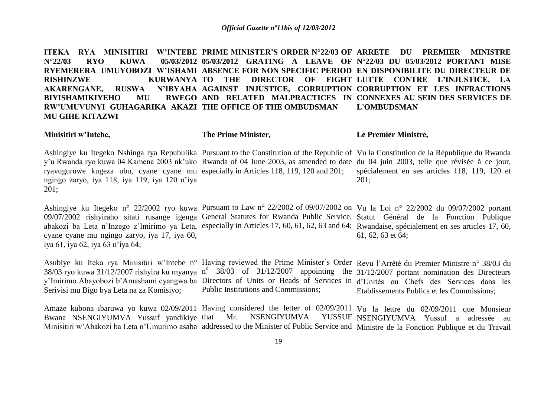ITEKA RYA MINISITIRI W'INTEBE PRIME MINISTER'S ORDER N°22/03 OF ARRETE DU PREMIER MINISTRE **N°22/03 RYO KUWA 05/03/2012 05/03/2012 GRATING A LEAVE OF N°22/03 DU 05/03/2012 PORTANT MISE RYEMERERA UMUYOBOZI W'ISHAMI ABSENCE FOR NON SPECIFIC PERIOD EN DISPONIBILITE DU DIRECTEUR DE RISHINZWE KURWANYA TO THE DIRECTOR OF FIGHT LUTTE CONTRE L'INJUSTICE, LA AKARENGANE, RUSWA BIYISHAMIKIYEHO MU RW'UMUVUNYI GUHAGARIKA AKAZI THE OFFICE OF THE OMBUDSMAN MU GIHE KITAZWI AGAINST INJUSTICE, CORRUPTION CORRUPTION ET LES INFRACTIONS AND RELATED MALPRACTICES IN CONNEXES AU SEIN DES SERVICES DE L'OMBUDSMAN**

| Minisitiri w'Intebe, | The Prime Minister, | Le Premier Ministre,                                                                                                                      |
|----------------------|---------------------|-------------------------------------------------------------------------------------------------------------------------------------------|
|                      |                     | Ashingiye ku Itegeko Nshinga rya Repubulika Pursuant to the Constitution of the Republic of Vu la Constitution de la République du Rwanda |

y'u Rwanda ryo kuwa 04 Kamena 2003 nk'uko Rwanda of 04 June 2003, as amended to date du 04 juin 2003, telle que révisée à ce jour, ryavuguruwe kugeza ubu, cyane cyane mu especially in Articles 118, 119, 120 and 201; ngingo zaryo, iya 118, iya 119, iya 120 n"iya 201; spécialement en ses articles 118, 119, 120 et 201;

Ashingiye ku Itegeko n° 22/2002 ryo kuwa Pursuant to Law n° 22/2002 of 09/07/2002 on Vu la Loi n° 22/2002 du 09/07/2002 portant 09/07/2002 rishyiraho sitati rusange igenga General Statutes for Rwanda Public Service, Statut Général de la Fonction Publique abakozi ba Leta n'Inzego z'Imirimo ya Leta, especially in Articles 17, 60, 61, 62, 63 and 64; Rwandaise, spécialement en ses articles 17, 60, cyane cyane mu ngingo zaryo, iya 17, iya 60, iya 61, iya 62, iya 63 n"iya 64; 61, 62, 63 et 64;

Asubiye ku Iteka rya Minisitiri w'Intebe n° Having reviewed the Prime Minister's Order Revu l'Arrêté du Premier Ministre n° 38/03 du 38/03 ryo kuwa 31/12/2007 rishyira ku myanya n<sup>o</sup> 38/03 of 31/12/2007 appointing the 31/12/2007 portant nomination des Directeurs y"Imirimo Abayobozi b"Amashami cyangwa ba Directors of Units or Heads of Services in d"Unités ou Chefs des Services dans les Serivisi mu Bigo bya Leta na za Komisiyo; Public Institutions and Commissions; Etablissements Publics et les Commissions;

Amaze kubona ibaruwa yo kuwa 02/09/2011 Having considered the letter of 02/09/2011 Vu la lettre du 02/09/2011 que Monsieur Bwana NSENGIYUMVA Yussuf yandikiye that Mr. NSENGIYUMVA YUSSUF NSENGIYUMVA Yussuf a adressée au Minisitiri w"Abakozi ba Leta n"Umurimo asaba addressed to the Minister of Public Service and Ministre de la Fonction Publique et du Travail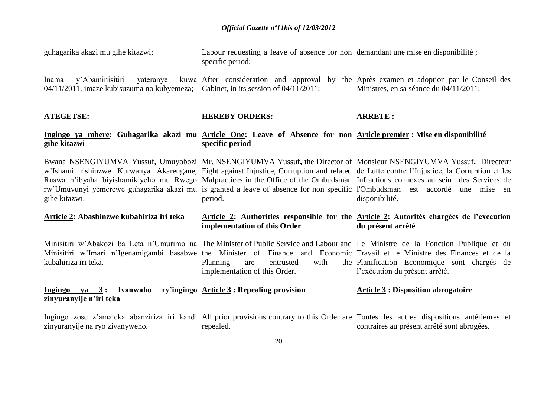| guhagarika akazi mu gihe kitazwi;                                                                                                  | Labour requesting a leave of absence for non-demandant une mise en disponibilité;<br>specific period; |                                                                                                                                                                                                                                                                                                                                                                                                                                                                                                                                                      |
|------------------------------------------------------------------------------------------------------------------------------------|-------------------------------------------------------------------------------------------------------|------------------------------------------------------------------------------------------------------------------------------------------------------------------------------------------------------------------------------------------------------------------------------------------------------------------------------------------------------------------------------------------------------------------------------------------------------------------------------------------------------------------------------------------------------|
| y'Abaminisitiri<br>yateranye<br>Inama<br>$04/11/2011$ , imaze kubisuzuma no kubyemeza; Cabinet, in its session of $04/11/2011$ ;   |                                                                                                       | kuwa After consideration and approval by the Après examen et adoption par le Conseil des<br>Ministres, en sa séance du 04/11/2011;                                                                                                                                                                                                                                                                                                                                                                                                                   |
| <b>ATEGETSE:</b>                                                                                                                   | <b>HEREBY ORDERS:</b>                                                                                 | <b>ARRETE:</b>                                                                                                                                                                                                                                                                                                                                                                                                                                                                                                                                       |
| Ingingo ya mbere: Guhagarika akazi mu Article One: Leave of Absence for non Article premier: Mise en disponibilité<br>gihe kitazwi | specific period                                                                                       |                                                                                                                                                                                                                                                                                                                                                                                                                                                                                                                                                      |
| gihe kitazwi.                                                                                                                      | period.                                                                                               | Bwana NSENGIYUMVA Yussuf, Umuyobozi Mr. NSENGIYUMVA Yussuf, the Director of Monsieur NSENGIYUMVA Yussuf, Directeur<br>w'Ishami rishinzwe Kurwanya Akarengane, Fight against Injustice, Corruption and related de Lutte contre l'Injustice, la Corruption et les<br>Ruswa n'ibyaha biyishamikiyeho mu Rwego Malpractices in the Office of the Ombudsman Infractions connexes au sein des Services de<br>rw'Umuvunyi yemerewe guhagarika akazi mu is granted a leave of absence for non specific l'Ombudsman est accordé une mise en<br>disponibilité. |
| Article 2: Abashinzwe kubahiriza iri teka                                                                                          | implementation of this Order                                                                          | Article 2: Authorities responsible for the Article 2: Autorités chargées de l'exécution<br>du présent arrêté                                                                                                                                                                                                                                                                                                                                                                                                                                         |
| kubahiriza iri teka.                                                                                                               | with<br>Planning<br>entrusted<br>are<br>implementation of this Order.                                 | Minisitiri w'Abakozi ba Leta n'Umurimo na The Minister of Public Service and Labour and Le Ministre de la Fonction Publique et du<br>Minisitiri w'Imari n'Igenamigambi basabwe the Minister of Finance and Economic Travail et le Ministre des Finances et de la<br>the Planification Economique sont chargés de<br>l'exécution du présent arrêté.                                                                                                                                                                                                   |
| <u>Ingingo ya 3:</u> Ivanwaho ry'ingingo Article 3: Repealing provision<br>zinyuranyije n'iri teka                                 |                                                                                                       | <b>Article 3 : Disposition abrogatoire</b>                                                                                                                                                                                                                                                                                                                                                                                                                                                                                                           |
| zinyuranyije na ryo zivanyweho.                                                                                                    | repealed.                                                                                             | Ingingo zose z'amateka abanziriza iri kandi All prior provisions contrary to this Order are Toutes les autres dispositions antérieures et<br>contraires au présent arrêté sont abrogées.                                                                                                                                                                                                                                                                                                                                                             |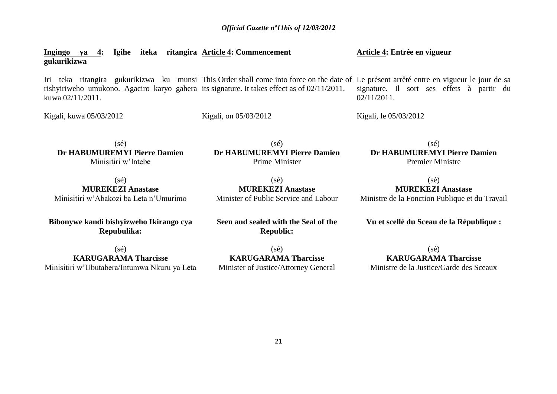#### **Ingingo ya 4: Igihe iteka ritangira Article 4: Commencement gukurikizwa Article 4: Entrée en vigueur**

Iri teka ritangira gukurikizwa ku munsi This Order shall come into force on the date of Le présent arrêté entre en vigueur le jour de sa rishyiriweho umukono. Agaciro karyo gahera its signature. It takes effect as of 02/11/2011. kuwa 02/11/2011. signature. Il sort ses effets à partir du 02/11/2011.

Kigali, kuwa 05/03/2012

Kigali, on 05/03/2012

Kigali, le 05/03/2012

 $(sé)$ **Dr HABUMUREMYI Pierre Damien** Minisitiri w"Intebe

 $(sé)$ **Dr HABUMUREMYI Pierre Damien** Prime Minister

 $(sé)$ **Dr HABUMUREMYI Pierre Damien** Premier Ministre

(sé) **MUREKEZI Anastase** Minisitiri w"Abakozi ba Leta n"Umurimo

(sé) **MUREKEZI Anastase** Minister of Public Service and Labour

(sé) **MUREKEZI Anastase** Ministre de la Fonction Publique et du Travail

**Vu et scellé du Sceau de la République :**

**Bibonywe kandi bishyizweho Ikirango cya Repubulika:**

(sé) **KARUGARAMA Tharcisse** Minisitiri w"Ubutabera/Intumwa Nkuru ya Leta **Seen and sealed with the Seal of the Republic:**

(sé) **KARUGARAMA Tharcisse** Minister of Justice/Attorney General

 $(sé)$ **KARUGARAMA Tharcisse** Ministre de la Justice/Garde des Sceaux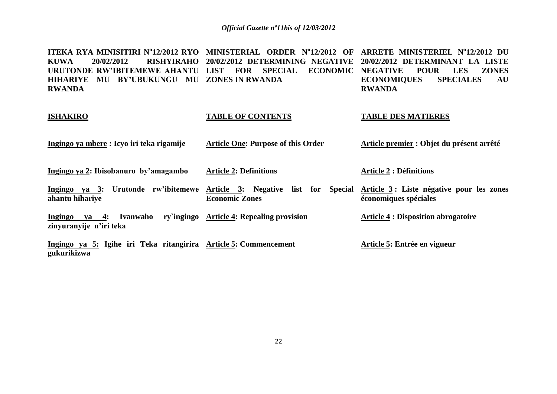**ITEKA RYA MINISITIRI N<sup>o</sup> 12/2012 RYO MINISTERIAL ORDER N o 12/2012 OF ARRETE MINISTERIEL N o 12/2012 DU KUWA 20/02/2012 RISHYIRAHO 20/02/2012 DETERMINING NEGATIVE 20/02/2012 DETERMINANT LA LISTE URUTONDE RW'IBITEMEWE AHANTU LIST FOR SPECIAL ECONOMIC NEGATIVE POUR LES ZONES HIHARIYE MU BY'UBUKUNGU MU ZONES IN RWANDA RWANDA ECONOMIQUES SPECIALES AU RWANDA**

#### **ISHAKIRO TABLE OF CONTENTS TABLE DES MATIERES**

| <u> Ingingo ya mbere</u> : Icyo iri teka rigamije | <b>Article One: Purpose of this Order</b> | Article premier : Objet du présent arrêté |
|---------------------------------------------------|-------------------------------------------|-------------------------------------------|
|                                                   |                                           |                                           |

**Ingingo ya 2: Ibisobanuro by'amagambo**

**Article 2: Definitions**

**Article 2 : Définitions**

**Ingingo ya 3: Urutonde rw'ibitemewe Article 3: Negative list for Special Article 3 : Liste négative pour les zones ahantu hihariye Economic Zones économiques spéciales**

**Ingingo ya 4: Ivanwaho ry`ingingo Article 4: Repealing provision zinyuranyije n'iri teka Article 4 : Disposition abrogatoire**

**Ingingo ya 5: Igihe iri Teka ritangirira Article 5: Commencement gukurikizwa Article 5: Entrée en vigueur**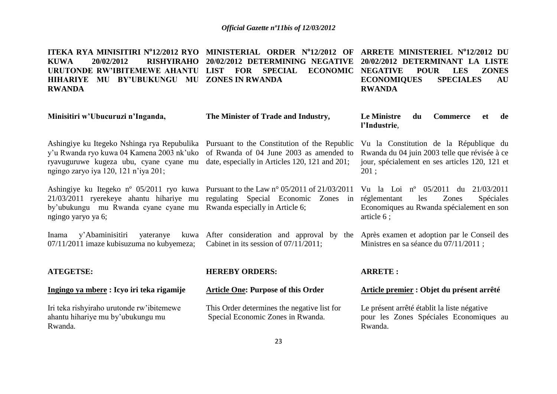**ITEKA RYA MINISITIRI N<sup>o</sup> 12/2012 RYO MINISTERIAL ORDER N o 12/2012 OF ARRETE MINISTERIEL N<sup>o</sup> 12/2012 DU KUWA 20/02/2012 RISHYIRAHO 20/02/2012 DETERMINING NEGATIVE 20/02/2012 DETERMINANT LA LISTE URUTONDE RW'IBITEMEWE AHANTU LIST FOR SPECIAL ECONOMIC NEGATIVE POUR LES ZONES HIHARIYE MU BY'UBUKUNGU MU ZONES IN RWANDA RWANDA ECONOMIQUES SPECIALES AU RWANDA**

| Minisitiri w'Ubucuruzi n'Inganda,                                                                                                                                                                                                                                   | The Minister of Trade and Industry,                                                       | Le Ministre<br>du<br><b>Commerce</b><br>de<br><b>et</b><br>l'Industrie,                                                                           |
|---------------------------------------------------------------------------------------------------------------------------------------------------------------------------------------------------------------------------------------------------------------------|-------------------------------------------------------------------------------------------|---------------------------------------------------------------------------------------------------------------------------------------------------|
| Ashingiye ku Itegeko Nshinga rya Repubulika Pursuant to the Constitution of the Republic<br>y'u Rwanda ryo kuwa 04 Kamena 2003 nk'uko<br>ryavuguruwe kugeza ubu, cyane cyane mu<br>ngingo zaryo iya 120, 121 n'iya 201;                                             | of Rwanda of 04 June 2003 as amended to<br>date, especially in Articles 120, 121 and 201; | Vu la Constitution de la République du<br>Rwanda du 04 juin 2003 telle que révisée à ce<br>jour, spécialement en ses articles 120, 121 et<br>201; |
| Ashingiye ku Itegeko n° 05/2011 ryo kuwa Pursuant to the Law n° 05/2011 of 21/03/2011<br>21/03/2011 ryerekeye ahantu hihariye mu regulating Special Economic Zones in<br>by'ubukungu mu Rwanda cyane cyane mu Rwanda especially in Article 6;<br>ngingo yaryo ya 6; |                                                                                           | Vu la Loi nº 05/2011 du 21/03/2011<br>Spéciales<br>réglementant<br>les<br>Zones<br>Economiques au Rwanda spécialement en son<br>article 6;        |
| y'Abaminisitiri yateranye<br>Inama<br>07/11/2011 imaze kubisuzuma no kubyemeza;                                                                                                                                                                                     | kuwa After consideration and approval by the<br>Cabinet in its session of $07/11/2011$ ;  | Après examen et adoption par le Conseil des<br>Ministres en sa séance du 07/11/2011;                                                              |
| <b>ATEGETSE:</b>                                                                                                                                                                                                                                                    | <b>HEREBY ORDERS:</b>                                                                     | <b>ARRETE:</b>                                                                                                                                    |
| Ingingo ya mbere : Icyo iri teka rigamije                                                                                                                                                                                                                           | <b>Article One: Purpose of this Order</b>                                                 | Article premier : Objet du présent arrêté                                                                                                         |
| Iri teka rishyiraho urutonde rw'ibitemewe<br>ahantu hihariye mu by'ubukungu mu<br>Rwanda.                                                                                                                                                                           | This Order determines the negative list for<br>Special Economic Zones in Rwanda.          | Le présent arrêté établit la liste négative<br>pour les Zones Spéciales Economiques au<br>Rwanda.                                                 |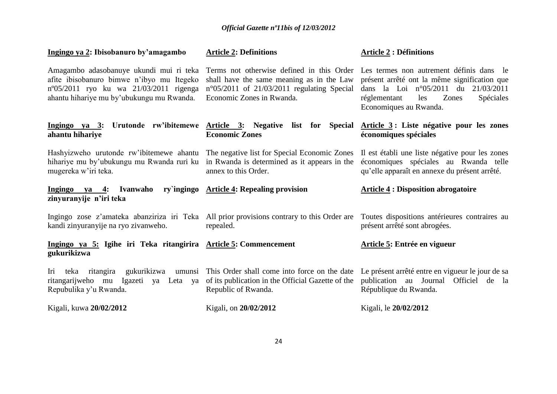| Ingingo ya 2: Ibisobanuro by'amagambo                                                                                                                                            | <b>Article 2: Definitions</b>                                                                                                                                                                                       | <b>Article 2 : Définitions</b>                                                                                                                                        |
|----------------------------------------------------------------------------------------------------------------------------------------------------------------------------------|---------------------------------------------------------------------------------------------------------------------------------------------------------------------------------------------------------------------|-----------------------------------------------------------------------------------------------------------------------------------------------------------------------|
| Amagambo adasobanuye ukundi mui ri teka<br>afite ibisobanuro bimwe n'ibyo mu Itegeko<br>n°05/2011 ryo ku wa 21/03/2011 rigenga<br>ahantu hihariye mu by'ubukungu mu Rwanda.      | Terms not otherwise defined in this Order Les termes non autrement définis dans le<br>shall have the same meaning as in the Law<br>$n^{\circ}05/2011$ of 21/03/2011 regulating Special<br>Economic Zones in Rwanda. | présent arrêté ont la même signification que<br>dans la Loi $n^{\circ}05/2011$ du $21/03/2011$<br>Spéciales<br>les<br>Zones<br>réglementant<br>Economiques au Rwanda. |
| Ingingo ya 3:<br>ahantu hihariye                                                                                                                                                 | Urutonde rw'ibitemewe Article 3: Negative list for Special Article 3: Liste négative pour les zones<br><b>Economic Zones</b>                                                                                        | économiques spéciales                                                                                                                                                 |
| Hashyizweho urutonde rw'ibitemewe ahantu The negative list for Special Economic Zones<br>hihariye mu by'ubukungu mu Rwanda ruri ku<br>mugereka w'iri teka.                       | in Rwanda is determined as it appears in the<br>annex to this Order.                                                                                                                                                | Il est établi une liste négative pour les zones<br>économiques spéciales au Rwanda telle<br>qu'elle apparaît en annexe du présent arrêté.                             |
| Ingingo ya 4:<br>Ivanwaho<br>zinyuranyije n'iri teka                                                                                                                             | ry`ingingo Article 4: Repealing provision                                                                                                                                                                           | <b>Article 4: Disposition abrogatoire</b>                                                                                                                             |
| Ingingo zose z'amateka abanziriza iri Teka All prior provisions contrary to this Order are Toutes dispositions antérieures contraires au<br>kandi zinyuranyije na ryo zivanweho. | repealed.                                                                                                                                                                                                           | présent arrêté sont abrogées.                                                                                                                                         |
| Ingingo ya 5: Igihe iri Teka ritangirira Article 5: Commencement<br>gukurikizwa                                                                                                  |                                                                                                                                                                                                                     | Article 5: Entrée en vigueur                                                                                                                                          |
| Iri<br>teka ritangira<br>gukurikizwa<br>Igazeti ya Leta ya<br>ritangarijweho mu<br>Repubulika y'u Rwanda.                                                                        | umunsi This Order shall come into force on the date<br>of its publication in the Official Gazette of the<br>Republic of Rwanda.                                                                                     | Le présent arrêté entre en vigueur le jour de sa<br>publication au Journal Officiel de la<br>République du Rwanda.                                                    |
| Kigali, kuwa 20/02/2012                                                                                                                                                          | Kigali, on 20/02/2012                                                                                                                                                                                               | Kigali, le 20/02/2012                                                                                                                                                 |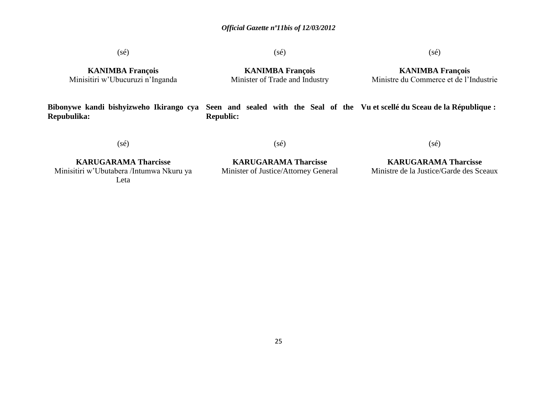(sé)

 $(s\acute{e})$ 

#### (sé)

**KANIMBA François** Minisitiri w"Ubucuruzi n"Inganda

**KANIMBA François** Minister of Trade and Industry

**KANIMBA François** Ministre du Commerce et de l"Industrie

**Bibonywe kandi bishyizweho Ikirango cya Seen and sealed with the Seal of the Vu et scellé du Sceau de la République : Repubulika: Republic:**

(sé)

(sé)

(sé)

**KARUGARAMA Tharcisse** Minisitiri w"Ubutabera /Intumwa Nkuru ya Leta

**KARUGARAMA Tharcisse** Minister of Justice/Attorney General

**KARUGARAMA Tharcisse** Ministre de la Justice/Garde des Sceaux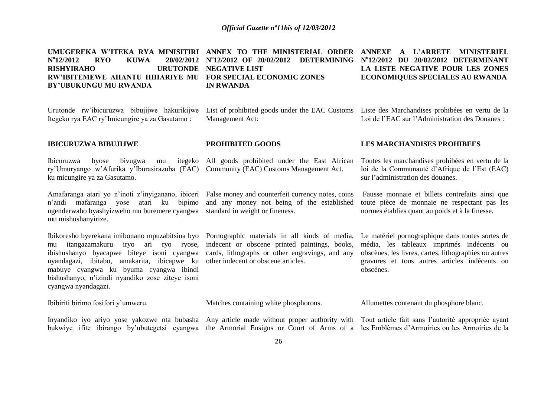UMUGEREKA W'ITEKA RYA MINISITIRI ANNEX TO THE MINISTERIAL ORDER ANNEXE A L'ARRETE MINISTERIEL **N o 12/2012 RYO KUWA 20/02/2012 N°12/2012 OF 20/02/2012 DETERMINING N°12/2012 DU 20/02/2012 DETERMINANT RISHYIRAHO RW'IBITEMEWE AHANTU HIHARIYE MU FOR SPECIAL ECONOMIC ZONES BY'UBUKUNGU MU RWANDA URUTONDE NEGATIVE LIST IN RWANDA LA LISTE NEGATIVE POUR LES ZONES ECONOMIQUES SPECIALES AU RWANDA**

Urutonde rw'ibicuruzwa bibujijwe hakurikijwe List of prohibited goods under the EAC Customs Liste des Marchandises prohibées en vertu de la Itegeko rya EAC ry"Imicungire ya za Gasutamo :

Management Act:

Loi de l"EAC sur l"Administration des Douanes :

#### **IBICURUZWA BIBUJIJWE**

Ibicuruzwa byose bivugwa mu ry"Umuryango w"Afurika y"Iburasirazuba (EAC) Community (EAC) Customs Management Act. ku micungire ya za Gasutamo. All goods prohibited under the East African

n"andi mafaranga yose atari ku bipimo and any money not being of the established ngenderwaho byashyizweho mu buremere cyangwa standard in weight or fineness. mu mishushanyirize.

mu itangazamakuru iryo ari ryo ryose, indecent or obscene printed paintings, books, ibishushanyo byacapwe biteye isoni cyangwa nyandagazi, ibitabo, amakarita, ibicapwe ku mabuye cyangwa ku byuma cyangwa ibindi bishushanyo, n"izindi nyandiko zose ziteye isoni cyangwa nyandagazi.

Amafaranga atari yo n'inoti z'inyiganano, ibiceri False money and counterfeit currency notes, coins

**PROHIBITED GOODS**

cards, lithographs or other engravings, and any other indecent or obscene articles.

#### **LES MARCHANDISES PROHIBEES**

Toutes les marchandises prohibées en vertu de la loi de la Communauté d"Afrique de l"Est (EAC) sur l"administration des douanes.

Fausse monnaie et billets contrefaits ainsi que toute pièce de monnaie ne respectant pas les normes établies quant au poids et à la finesse.

Ibikoresho byerekana imibonano mpuzabitsina byo Pornographic materials in all kinds of media, Le matériel pornographique dans toutes sortes de média, les tableaux imprimés indécents ou obscènes, les livres, cartes, lithographies ou autres gravures et tous autres articles indécents ou obscènes.

Ibibiriti birimo fosifori y"umweru. Matches containing white phosphorous. Allumettes contenant du phosphore blanc.

bukwiye ifite ibirango by"ubutegetsi cyangwa the Armorial Ensigns or Court of Arms of a les Emblèmes d"Armoiries ou les Armoiries de la

Inyandiko iyo ariyo yose yakozwe nta bubasha Any article made without proper authority with Tout article fait sans l"autorité appropriée ayant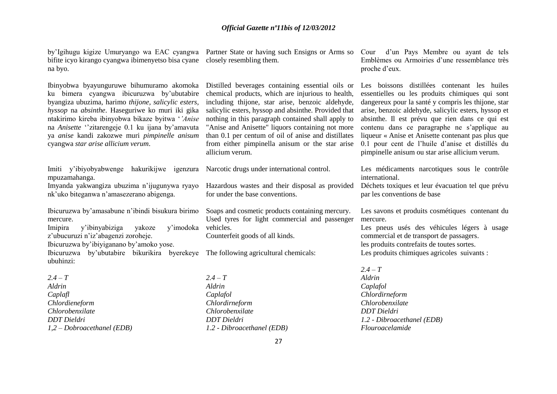bifite icyo kirango cyangwa ibimenyetso bisa cyane closely resembling them. na byo.

Ibinyobwa byayunguruwe bihumuramo akomoka ku bimera cyangwa ibicuruzwa by"ubutabire byangiza ubuzima, harimo *thijone, salicylic esters, hyssop* na *absinthe*. Haseguriwe ko muri iki gika ntakirimo kireba ibinyobwa bikaze byitwa "*'Anise* na *Anisette* "zitarengeje 0.1 ku ijana by'amavuta ya *anise* kandi zakozwe muri *pimpinelle anisum* cyangwa *star arise allicium verum*.

Imiti y"ibiyobyabwenge hakurikijwe igenzura Narcotic drugs under international control. mpuzamahanga. Imyanda yakwangiza ubuzima n"ijugunywa ryayo

nk"uko biteganwa n"amasezerano abigenga. Ibicuruzwa by"amasabune n"ibindi bisukura birimo

mercure. Imipira y"ibinyabiziga yakoze y"imodoka z'ubucuruzi n'iz'abagenzi zoroheje. Ibicuruzwa by"ibiyiganano by"amoko yose. Ibicuruzwa by"ubutabire bikurikira byerekeye The following agricultural chemicals: ubuhinzi:

 $2.4 - T$ *Aldrin Caplafl Chlordieneform Chlorobenxilate DDT Dieldri 1,2 – Dobroacethanel (EDB)*

Distilled beverages containing essential oils or chemical products, which are injurious to health, including thijone, star arise, benzoic aldehyde, salicylic esters, hyssop and absinthe. Provided that nothing in this paragraph contained shall apply to "Anise and Anisette" liquors containing not more than 0.1 per centum of oil of anise and distillates from either pimpinella anisum or the star arise allicium verum.

Hazardous wastes and their disposal as provided for under the base conventions.

Soaps and cosmetic products containing mercury. Used tyres for light commercial and passenger vehicles.

Counterfeit goods of all kinds.

*2.4 – T Aldrin Caplafol Chlordirneform Chlorobenxilate DDT Dieldri 1.2 - Dibroacethanel (EDB)*

by"Igihugu kigize Umuryango wa EAC cyangwa Partner State or having such Ensigns or Arms so Cour d"un Pays Membre ou ayant de tels Emblèmes ou Armoiries d"une ressemblance très proche d"eux.

> Les boissons distillées contenant les huiles essentielles ou les produits chimiques qui sont dangereux pour la santé y compris les thijone, star arise, benzoic aldehyde, salicylic esters, hyssop et absinthe. Il est prévu que rien dans ce qui est contenu dans ce paragraphe ne s"applique au liqueur « Anise et Anisette contenant pas plus que 0.1 pour cent de l"huile d"anise et distillés du pimpinelle anisum ou star arise allicium verum.

Les médicaments narcotiques sous le contrôle international.

Déchets toxiques et leur évacuation tel que prévu par les conventions de base

Les savons et produits cosmétiques contenant du mercure.

Les pneus usés des véhicules légers à usage commercial et de transport de passagers. les produits contrefaits de toutes sortes. Les produits chimiques agricoles suivants :

*2.4 – T Aldrin Caplafol Chlordirneform Chlorobenxilate DDT Dieldri 1.2 - Dibroacethanel (EDB) Flouroacelamide*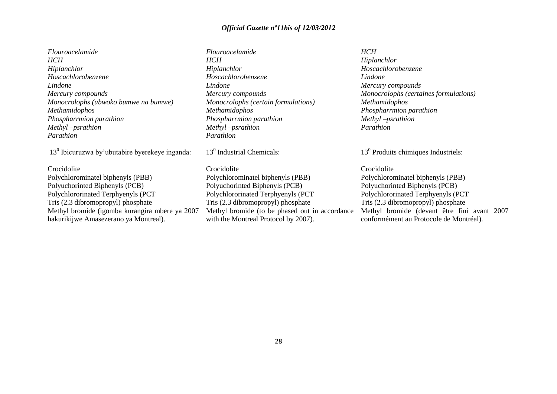*Flouroacelamide HCH Hiplanchlor Hoscachlorobenzene Lindone Mercury compounds Monocrolophs (ubwoko bumwe na bumwe) Methamidophos Phospharrmion parathion Methyl –psrathion Parathion*

13<sup>0</sup> Ibicuruzwa by'ubutabire byerekeye inganda:

Crocidolite Polychlorominatel biphenyls (PBB) Polyuchorinted Biphenyls (PCB) Polychlororinated Terphyenyls (PCT Tris (2.3 dibromopropyl) phosphate Methyl bromide (igomba kurangira mbere ya 2007 hakurikijwe Amasezerano ya Montreal).

*Flouroacelamide HCH Hiplanchlor Hoscachlorobenzene Lindone Mercury compounds Monocrolophs (certain formulations) Methamidophos Phospharrmion parathion Methyl –psrathion Parathion*

13<sup>0</sup> Industrial Chemicals:

Crocidolite Polychlorominatel biphenyls (PBB) Polyuchorinted Biphenyls (PCB) Polychlororinated Terphyenyls (PCT Tris (2.3 dibromopropyl) phosphate Methyl bromide (to be phased out in accordance with the Montreal Protocol by 2007).

#### *HCH*

*Hiplanchlor Hoscachlorobenzene Lindone Mercury compounds Monocrolophs (certaines formulations) Methamidophos Phospharrmion parathion Methyl –psrathion Parathion*

13<sup>0</sup> Produits chimiques Industriels:

Crocidolite Polychlorominatel biphenyls (PBB) Polyuchorinted Biphenyls (PCB) Polychlororinated Terphyenyls (PCT Tris (2.3 dibromopropyl) phosphate Methyl bromide (devant être fini avant 2007 conformément au Protocole de Montréal).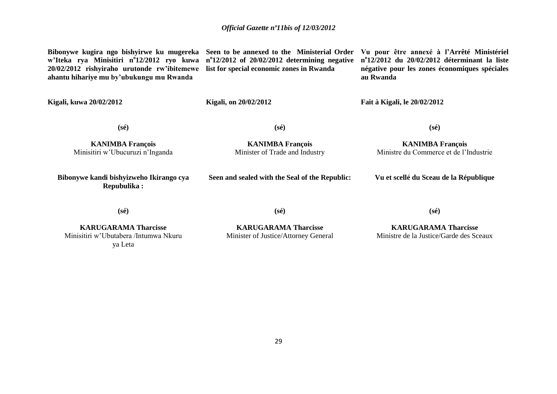**Bibonywe kugira ngo bishyirwe ku mugereka Seen to be annexed to the Ministerial Order Vu pour être annexé à l'Arrêté Ministériel w'Iteka rya Minisitiri n<sup>o</sup> 12/2012 ryo kuwa n o 12/2012 of 20/02/2012 determining negative 20/02/2012 rishyiraho urutonde rw'ibitemewe list for special economic zones in Rwanda ahantu hihariye mu by'ubukungu mu Rwanda**

**n o 12/2012 du 20/02/2012 déterminant la liste négative pour les zones économiques spéciales au Rwanda**

**Kigali, kuwa 20/02/2012**

**Kigali, on 20/02/2012**

**(sé)**

**Fait à Kigali, le 20/02/2012**

**KANIMBA François** Minisitiri w"Ubucuruzi n"Inganda

**(sé)**

**Bibonywe kandi bishyizweho Ikirango cya Repubulika :**

**(sé)**

**KANIMBA François** Minister of Trade and Industry

**KANIMBA François** Ministre du Commerce et de l"Industrie

**Vu et scellé du Sceau de la République**

**(sé)**

**(sé)**

**Seen and sealed with the Seal of the Republic:**

**KARUGARAMA Tharcisse** Minisitiri w"Ubutabera /Intumwa Nkuru ya Leta

**KARUGARAMA Tharcisse** Minister of Justice/Attorney General **(sé)**

**KARUGARAMA Tharcisse** Ministre de la Justice/Garde des Sceaux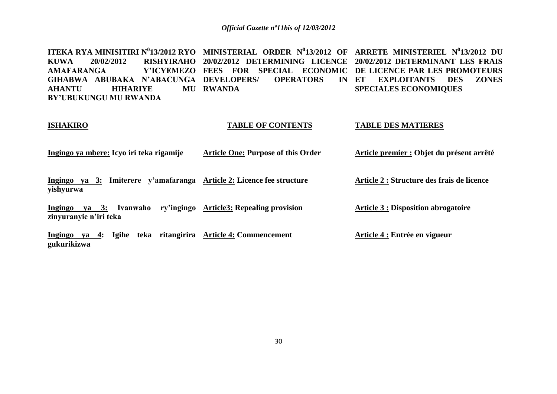**ITEKA RYA MINISITIRI N<sup>0</sup> 13/2012 RYO MINISTERIAL ORDER N<sup>0</sup> 13/2012 OF ARRETE MINISTERIEL N 0 13/2012 DU KUWA 20/02/2012 RISHYIRAHO 20/02/2012 DETERMINING LICENCE 20/02/2012 DETERMINANT LES FRAIS AMAFARANGA GIHABWA ABUBAKA N'ABACUNGA DEVELOPERS/ OPERATORS IN AHANTU HIHARIYE BY'UBUKUNGU MU RWANDA FEES FOR SPECIAL ECONOMIC DE LICENCE PAR LES PROMOTEURS RWANDA ET EXPLOITANTS DES ZONES SPECIALES ECONOMIQUES** 

#### **ISHAKIRO**

#### **TABLE OF CONTENTS**

#### **TABLE DES MATIERES**

**Ingingo ya mbere: Icyo iri teka rigamije Article One: Purpose of this Order Article premier : Objet du présent arrêté**

**Ingingo ya 3: Imiterere y'amafaranga Article 2: Licence fee structure yishyurwa**

**Ingingo ya 3: Ivanwaho ry'ingingo Article3: Repealing provision zinyuranyie n'iri teka**

**Ingingo ya 4: Igihe teka ritangirira Article 4: Commencement gukurikizwa**

**Article 2 : Structure des frais de licence**

**Article 3 : Disposition abrogatoire**

**Article 4 : Entrée en vigueur**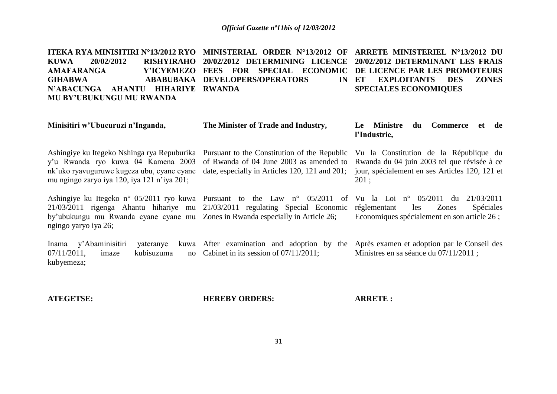**ITEKA RYA MINISITIRI N°13/2012 RYO MINISTERIAL ORDER N°13/2012 OF ARRETE MINISTERIEL N°13/2012 DU KUWA 20/02/2012 RISHYIRAHO 20/02/2012 DETERMINING LICENCE 20/02/2012 DETERMINANT LES FRAIS**   $AMAFARANGA$ **GIHABWA ABABUBAKA DEVELOPERS/OPERATORS IN N'ABACUNGA AHANTU HIHARIYE RWANDA MU BY'UBUKUNGU MU RWANDA FEES FOR SPECIAL ECONOMIC DE LICENCE PAR LES PROMOTEURS ET EXPLOITANTS DES ZONES SPECIALES ECONOMIQUES** 

| Minisitiri w'Ubucuruzi n'Inganda,                                                                                                                                                                                                                                     | The Minister of Trade and Industry,                                                                                                       | Le Ministre<br>Commerce<br>et de<br>du<br>l'Industrie,                                                                                          |
|-----------------------------------------------------------------------------------------------------------------------------------------------------------------------------------------------------------------------------------------------------------------------|-------------------------------------------------------------------------------------------------------------------------------------------|-------------------------------------------------------------------------------------------------------------------------------------------------|
| Ashingiye ku Itegeko Nshinga rya Repuburika<br>y'u Rwanda ryo kuwa 04 Kamena 2003<br>nk'uko ryavuguruwe kugeza ubu, cyane cyane<br>mu ngingo zaryo iya 120, iya 121 n'iya 201;                                                                                        | Pursuant to the Constitution of the Republic<br>of Rwanda of 04 June 2003 as amended to<br>date, especially in Articles 120, 121 and 201; | Vu la Constitution de la République du<br>Rwanda du 04 juin 2003 tel que révisée à ce<br>jour, spécialement en ses Articles 120, 121 et<br>201: |
| Ashingiye ku Itegeko n° 05/2011 ryo kuwa Pursuant to the Law n° 05/2011<br>$21/03/2011$ rigenga Ahantu hihariye mu $21/03/2011$ regulating Special Economic<br>by'ubukungu mu Rwanda cyane cyane mu Zones in Rwanda especially in Article 26;<br>ngingo yaryo iya 26; | of                                                                                                                                        | Vu la Loi nº $05/2011$<br>du<br>21/03/2011<br>Spéciales<br>Zones<br>réglementant<br>les<br>Economiques spécialement en son article 26 ;         |
| y'Abaminisitiri<br>Inama<br>yateranye<br>$07/11/2011$ ,<br>kubisuzuma<br>imaze<br>kubyemeza;                                                                                                                                                                          | kuwa After examination and adoption by the<br>no Cabinet in its session of $07/11/2011$ ;                                                 | Après examen et adoption par le Conseil des<br>Ministres en sa séance du 07/11/2011 ;                                                           |

**ATEGETSE:**

**HEREBY ORDERS:**

**ARRETE :**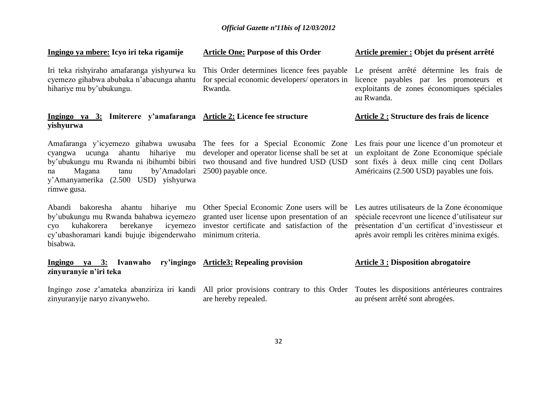| Ingingo ya mbere: Icyo iri teka rigamije                                                                                                                                                                                                                                                   | <b>Article One: Purpose of this Order</b>                                                              | Article premier : Objet du présent arrêté                                                                                                                                                             |
|--------------------------------------------------------------------------------------------------------------------------------------------------------------------------------------------------------------------------------------------------------------------------------------------|--------------------------------------------------------------------------------------------------------|-------------------------------------------------------------------------------------------------------------------------------------------------------------------------------------------------------|
| Iri teka rishyiraho amafaranga yishyurwa ku<br>cyemezo gihabwa abubaka n'abacunga ahantu<br>hihariye mu by'ubukungu.                                                                                                                                                                       | This Order determines licence fees payable<br>for special economic developers/ operators in<br>Rwanda. | Le présent arrêté détermine les frais de<br>licence payables par les promoteurs et<br>exploitants de zones économiques spéciales<br>au Rwanda.                                                        |
| Ingingo ya 3: Imiterere y'amafaranga Article 2: Licence fee structure<br>yishyurwa                                                                                                                                                                                                         |                                                                                                        | <b>Article 2 : Structure des frais de licence</b>                                                                                                                                                     |
| Amafaranga y'icyemezo gihabwa uwusaba The fees for a Special Economic Zone<br>hihariye mu<br>ahantu<br>cyangwa<br>ucunga<br>by'ubukungu mu Rwanda ni ibihumbi bibiri two thousand and five hundred USD (USD<br>Magana<br>tanu<br>na<br>y'Amanyamerika (2.500 USD) yishyurwa<br>rimwe gusa. | developer and operator license shall be set at<br>by'Amadolari 2500) payable once.                     | Les frais pour une licence d'un promoteur et<br>un exploitant de Zone Economique spéciale<br>sont fixés à deux mille cinq cent Dollars<br>Américains (2.500 USD) payables une fois.                   |
| Abandi bakoresha ahantu hihariye mu Other Special Economic Zone users will be<br>by'ubukungu mu Rwanda bahabwa icyemezo granted user license upon presentation of an<br>kuhakorera<br>CVO<br>cy'ubashoramari kandi bujuje ibigenderwaho minimum criteria.<br>bisabwa.                      | berekanye icyemezo investor certificate and satisfaction of the                                        | Les autres utilisateurs de la Zone économique<br>spéciale recevront une licence d'utilisateur sur<br>présentation d'un certificat d'investisseur et<br>après avoir rempli les critères minima exigés. |
| Ingingo ya 3: Ivanwaho<br>zinyuranyie n'iri teka                                                                                                                                                                                                                                           | ry'ingingo Article3: Repealing provision                                                               | <b>Article 3: Disposition abrogatoire</b>                                                                                                                                                             |
| Ingingo zose z'amateka abanziriza iri kandi All prior provisions contrary to this Order<br>zinyuranyije naryo zivanyweho.                                                                                                                                                                  | are hereby repealed.                                                                                   | Toutes les dispositions antérieures contraires<br>au présent arrêté sont abrogées.                                                                                                                    |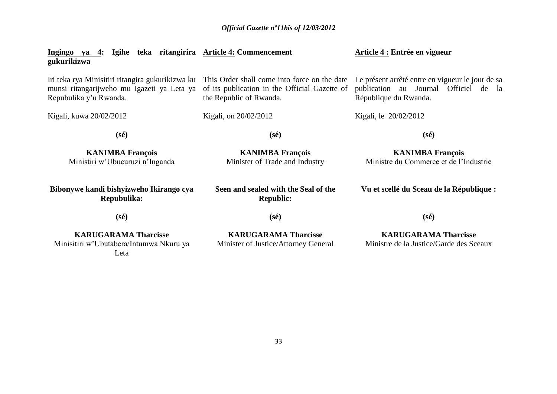| Ingingo ya 4: Igihe teka ritangirira Article 4: Commencement<br>gukurikizwa                                              |                                                                                                                          | Article 4 : Entrée en vigueur                                                                                      |
|--------------------------------------------------------------------------------------------------------------------------|--------------------------------------------------------------------------------------------------------------------------|--------------------------------------------------------------------------------------------------------------------|
| Iri teka rya Minisitiri ritangira gukurikizwa ku<br>munsi ritangarijweho mu Igazeti ya Leta ya<br>Repubulika y'u Rwanda. | This Order shall come into force on the date<br>of its publication in the Official Gazette of<br>the Republic of Rwanda. | Le présent arrêté entre en vigueur le jour de sa<br>publication au Journal Officiel de la<br>République du Rwanda. |
| Kigali, kuwa 20/02/2012                                                                                                  | Kigali, on 20/02/2012                                                                                                    | Kigali, le 20/02/2012                                                                                              |
| $(s\acute{e})$                                                                                                           | $(s\acute{e})$                                                                                                           | $(s\acute{e})$                                                                                                     |
| <b>KANIMBA François</b><br>Ministiri w'Ubucuruzi n'Inganda                                                               | <b>KANIMBA François</b><br>Minister of Trade and Industry                                                                | <b>KANIMBA François</b><br>Ministre du Commerce et de l'Industrie                                                  |
| Bibonywe kandi bishyizweho Ikirango cya<br>Repubulika:                                                                   | Seen and sealed with the Seal of the<br><b>Republic:</b>                                                                 | Vu et scellé du Sceau de la République :                                                                           |
| $(s\acute{e})$                                                                                                           | $(s\acute{e})$                                                                                                           | $(s\acute{e})$                                                                                                     |
| <b>KARUGARAMA Tharcisse</b><br>Minisitiri w'Ubutabera/Intumwa Nkuru ya<br>Leta                                           | <b>KARUGARAMA Tharcisse</b><br>Minister of Justice/Attorney General                                                      | <b>KARUGARAMA Tharcisse</b><br>Ministre de la Justice/Garde des Sceaux                                             |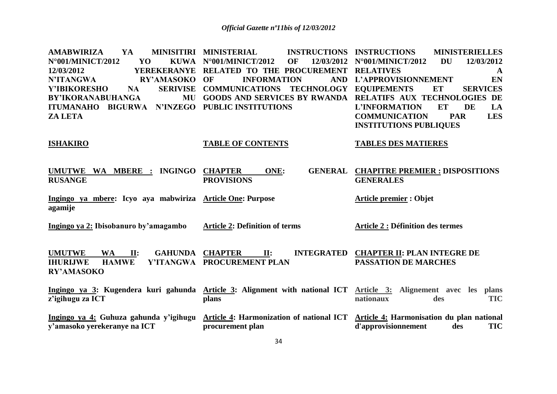**AMABWIRIZA YA MINISITIRI**   $N°001/MINICT/2012$  **YO 12/03/2012 YEREKERANYE RELATED TO THE PROCUREMENT RELATIVES A N'ITANGWA RY'AMASOKO Y'IBIKORESHO NA BY'IKORANABUHANGA ITUMANAHO BIGURWA N'INZEGO PUBLIC INSTITUTIONS ZA LETA ISHAKIRO UMUTWE WA MBERE : INGINGO RUSANGE Ingingo ya mbere: Icyo aya mabwiriza Article One: Purpose agamije Ingingo ya 2: Ibisobanuro by'amagambo UMUTWE WA II: GAHUNDA IHURIJWE HAMWE Y'ITANGWA PROCUREMENT PLAN RY'AMASOKO Ingingo ya 3: Kugendera kuri gahunda Article 3: Alignment with national ICT z'igihugu za ICT Ingingo ya 4: Guhuza gahunda y'igihugu y'amasoko yerekeranye na ICT INSTRUCTIONS INSTRUCTIONS KUWA N°001/MINICT/2012 OF INFORMATION COMMUNICATIONS TECHNOLOGY EQUIPEMENTS ET SERVICES GOODS AND SERVICES BY RWANDA RELATIFS AUX TECHNOLOGIES DE TABLE OF CONTENTS CHAPTER ONE: GENERAL CHAPITRE PREMIER : DISPOSITIONS PROVISIONS Article 2: Definition of terms CHAPTER II: INTEGRATED plans Article 4: Harmonization of national ICT procurement plan INSTRUCTIONS MINISTERIELLES N°001/MINICT/2012 DU 12/03/2012 L'APPROVISIONNEMENT EN L'INFORMATION ET DE LA COMMUNICATION PAR LES INSTITUTIONS PUBLIQUES TABLES DES MATIERES GENERALES Article premier : Objet Article 2 : Définition des termes CHAPTER II: PLAN INTEGRE DE PASSATION DE MARCHES Article 3: Alignement avec les plans nationaux des TIC Article 4: Harmonisation du plan national d'approvisionnement des TIC**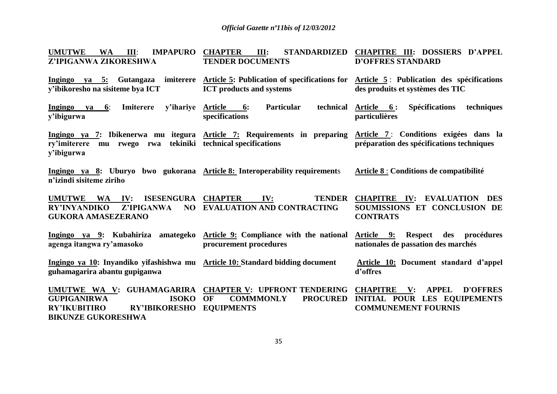| <b>UMUTWE</b><br><b>IMPAPURO</b><br><b>WA</b><br>III:<br>Z'IPIGANWA ZIKORESHWA                                                                                           | <b>CHAPTER</b><br>STANDARDIZED<br>III:<br><b>TENDER DOCUMENTS</b>        | <b>CHAPITRE III: DOSSIERS D'APPEL</b><br><b>D'OFFRES STANDARD</b>                                                                                            |
|--------------------------------------------------------------------------------------------------------------------------------------------------------------------------|--------------------------------------------------------------------------|--------------------------------------------------------------------------------------------------------------------------------------------------------------|
| y'ibikoresho na sisiteme bya ICT                                                                                                                                         | <b>ICT</b> products and systems                                          | Ingingo ya 5: Gutangaza imiterere Article 5: Publication of specifications for Article 5: Publication des spécifications<br>des produits et systèmes des TIC |
| Imiterere<br>y'ihariye<br>Ingingo<br>$\mathbf{v}\mathbf{a}$ 6:<br>y'ibigurwa                                                                                             | technical<br><b>Particular</b><br><b>Article</b><br>6:<br>specifications | <b>Spécifications</b><br>techniques<br>Article 6:<br>particulières                                                                                           |
| ry'imiterere mu rwego rwa tekiniki technical specifications<br>y'ibigurwa                                                                                                |                                                                          | Ingingo ya 7: Ibikenerwa mu itegura Article 7: Requirements in preparing Article 7: Conditions exigées dans la<br>préparation des spécifications techniques  |
| Ingingo ya 8: Uburyo bwo gukorana Article 8: Interoperability requirements<br>n'izindi sisiteme ziriho                                                                   |                                                                          | Article 8 : Conditions de compatibilité                                                                                                                      |
| ISESENGURA CHAPTER<br>UMUTWE WA<br>$\mathbf{IV:}$<br>Z'IPIGANWA<br><b>RY'INYANDIKO</b><br><b>GUKORA AMASEZERANO</b>                                                      | IV:<br><b>TENDER</b><br>NO EVALUATION AND CONTRACTING                    | <b>CHAPITRE IV: EVALUATION DES</b><br>SOUMISSIONS ET CONCLUSION DE<br><b>CONTRATS</b>                                                                        |
| agenga itangwa ry'amasoko                                                                                                                                                | procurement procedures                                                   | Ingingo ya 9: Kubahiriza amategeko Article 9: Compliance with the national Article 9: Respect des procédures<br>nationales de passation des marchés          |
| Ingingo ya 10: Inyandiko yifashishwa mu Article 10: Standard bidding document<br>guhamagarira abantu gupiganwa                                                           |                                                                          | Article 10: Document standard d'appel<br>d'offres                                                                                                            |
| UMUTWE WA V: GUHAMAGARIRA CHAPTER V: UPFRONT TENDERING<br><b>GUPIGANIRWA</b><br><b>ISOKO</b><br><b>RY'IKUBITIRO</b><br><b>RY'IBIKORESHO</b><br><b>BIKUNZE GUKORESHWA</b> | <b>PROCURED</b><br><b>OF</b><br><b>COMMMONLY</b><br><b>EQUIPMENTS</b>    | <b>APPEL</b><br><b>D'OFFRES</b><br><b>CHAPITRE</b> V:<br><b>INITIAL POUR LES EQUIPEMENTS</b><br><b>COMMUNEMENT FOURNIS</b>                                   |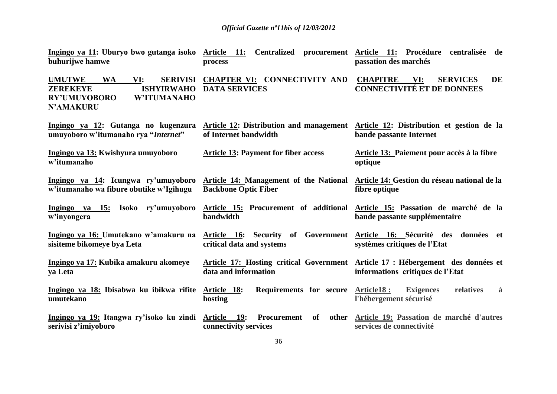| buhurijwe hamwe                                                                                                                                               | process                                                          | Ingingo ya 11: Uburyo bwo gutanga isoko Article 11: Centralized procurement Article 11: Procédure centralisée de<br>passation des marchés |
|---------------------------------------------------------------------------------------------------------------------------------------------------------------|------------------------------------------------------------------|-------------------------------------------------------------------------------------------------------------------------------------------|
| <b>UMUTWE</b><br><b>WA</b><br>VI:<br><b>SERIVISI</b><br><b>ISHYIRWAHO</b><br><b>ZEREKEYE</b><br><b>RY'UMUYOBORO</b><br><b>W'ITUMANAHO</b><br><b>N'AMAKURU</b> | CHAPTER VI: CONNECTIVITY AND<br><b>DATA SERVICES</b>             | <b>DE</b><br><b>CHAPITRE</b><br>VI:<br><b>SERVICES</b><br><b>CONNECTIVITÉ ET DE DONNEES</b>                                               |
| Ingingo ya 12: Gutanga no kugenzura<br>umuyoboro w'itumanaho rya "Internet"                                                                                   | of Internet bandwidth                                            | Article 12: Distribution and management Article 12: Distribution et gestion de la<br>bande passante Internet                              |
| Ingingo ya 13: Kwishyura umuyoboro<br>w'itumanaho                                                                                                             | <b>Article 13: Payment for fiber access</b>                      | Article 13: Paiement pour accès à la fibre<br>optique                                                                                     |
| Ingingo ya 14: Icungwa ry'umuyoboro<br>w'itumanaho wa fibure obutike w'Igihugu                                                                                | <b>Backbone Optic Fiber</b>                                      | Article 14: Management of the National Article 14: Gestion du réseau national de la<br>fibre optique                                      |
| Ingingo ya 15: Isoko ry'umuyoboro<br>w'inyongera                                                                                                              | bandwidth                                                        | Article 15: Procurement of additional Article 15: Passation de marché de la<br>bande passante supplémentaire                              |
| Ingingo ya 16: Umutekano w'amakuru na<br>sisiteme bikomeye bya Leta                                                                                           | critical data and systems                                        | Article 16: Security of Government Article 16: Sécurité des données et<br>systèmes critiques de l'Etat                                    |
| Ingingo ya 17: Kubika amakuru akomeye<br>ya Leta                                                                                                              | data and information                                             | Article 17: Hosting critical Government Article 17: Hébergement des données et<br>informations critiques de l'Etat                        |
| Ingingo ya 18: Ibisabwa ku ibikwa rifite Article 18:<br>umutekano                                                                                             | Requirements for secure Article18:<br>hosting                    | <b>Exigences</b><br>relatives<br>à<br>l'hébergement sécurisé                                                                              |
| Ingingo ya 19: Itangwa ry'isoko ku zindi<br>serivisi z'imiyoboro                                                                                              | Article 19:<br>Procurement<br><b>of</b><br>connectivity services | other Article 19: Passation de marché d'autres<br>services de connectivité                                                                |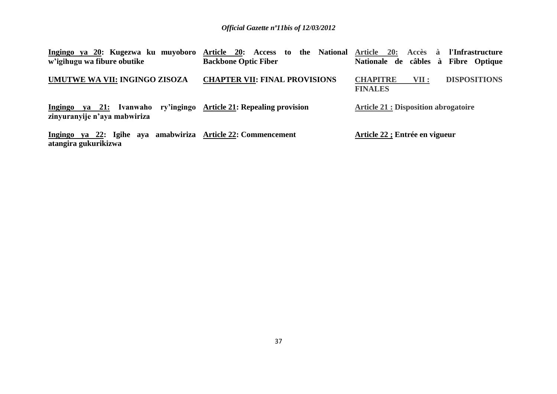| Ingingo ya 20: Kugezwa ku muyoboro<br>w'igihugu wa fibure obutike                                     | the National Article 20:<br>Article 20:<br><b>Access</b><br>to<br><b>Backbone Optic Fiber</b> | Accès<br>l'Infrastructure<br>à<br>Nationale de câbles à Fibre Optique |
|-------------------------------------------------------------------------------------------------------|-----------------------------------------------------------------------------------------------|-----------------------------------------------------------------------|
| UMUTWE WA VII: INGINGO ZISOZA                                                                         | <b>CHAPTER VII: FINAL PROVISIONS</b>                                                          | <b>DISPOSITIONS</b><br><b>CHAPITRE</b><br>VII :<br><b>FINALES</b>     |
| ya 21: Ivanwaho ry'ingingo Article 21: Repealing provision<br>Ingingo<br>zinyuranyije n'aya mabwiriza |                                                                                               | <b>Article 21 : Disposition abrogatoire</b>                           |
| ya 22: Igihe aya<br>Ingingo<br>atangira gukurikizwa                                                   | amabwiriza Article 22: Commencement                                                           | Article 22 ; Entrée en vigueur                                        |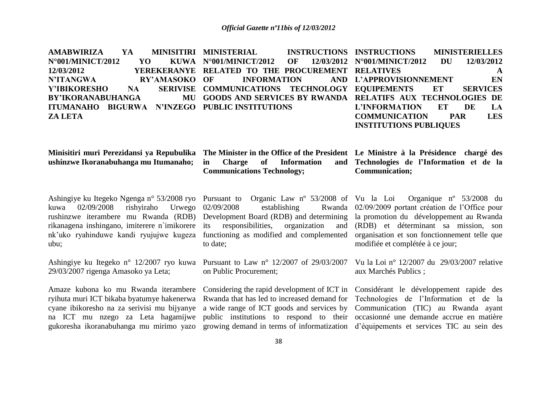|                   |  | AMABWIRIZA YA MINISITIRI MINISTERIAL   INSTRUCTIONS INSTRUCTIONS  MINISTERIELLES |                               |              |
|-------------------|--|----------------------------------------------------------------------------------|-------------------------------|--------------|
| N°001/MINICT/2012 |  | YO KUWA N°001/MINICT/2012 OF 12/03/2012 N°001/MINICT/2012 DU                     |                               | 12/03/2012   |
| 12/03/2012        |  | YEREKERANYE RELATED TO THE PROCUREMENT RELATIVES                                 |                               | $\mathbf{A}$ |
|                   |  | N'ITANGWA     RY'AMASOKO OF   INFORMATION    AND L'APPROVISIONNEMENT    EN       |                               |              |
|                   |  | Y'IBIKORESHO NA SERIVISE COMMUNICATIONS TECHNOLOGY EQUIPEMENTS ET SERVICES       |                               |              |
|                   |  | BY'IKORANABUHANGA MU GOODS AND SERVICES BY RWANDA RELATIFS AUX TECHNOLOGIES DE   |                               |              |
|                   |  | ITUMANAHO BIGURWA N'INZEGO PUBLICINSTITUTIONS                                    | L'INFORMATION ET              | LA<br>DE     |
| <b>ZA LETA</b>    |  |                                                                                  | <b>COMMUNICATION PAR</b>      | <b>LES</b>   |
|                   |  |                                                                                  | <b>INSTITUTIONS PUBLIQUES</b> |              |

**ushinzwe Ikoranabuhanga mu Itumanaho;**

**Minisitiri muri Perezidansi ya Repubulika The Minister in the Office of the President Le Ministre à la Présidence chargé des in Charge of Information Communications Technology;**

**Technologies de l'Information et de la Communication;**

Ashingiye ku Itegeko Ngenga n° 53/2008 ryo Pursuant to Organic Law nº 53/2008 of kuwa 02/09/2008 rishyiraho Urwego rushinzwe iterambere mu Rwanda (RDB) Development Board (RDB) and determining la promotion du développement au Rwanda rikanagena inshingano, imiterere n`imikorere its responsibilities, organization and (RDB) et déterminant sa mission, son nk"uko ryahinduwe kandi ryujujwe kugeza functioning as modified and complemented ubu;

Ashingiye ku Itegeko n° 12/2007 ryo kuwa Pursuant to Law n° 12/2007 of 29/03/2007 29/03/2007 rigenga Amasoko ya Leta;

Amaze kubona ko mu Rwanda iterambere ryihuta muri ICT bikaba byatumye hakenerwa cyane ibikoresho na za serivisi mu bijyanye na ICT mu nzego za Leta hagamijwe gukoresha ikoranabuhanga mu mirimo yazo

establishing to date;

on Public Procurement;

Rwanda that has led to increased demand for Technologies de l"Information et de la a wide range of ICT goods and services by Communication (TIC) au Rwanda ayant public institutions to respond to their occasionné une demande accrue en matière growing demand in terms of informatization d"équipements et services TIC au sein des

Organique nº  $53/2008$  du 02/09/2009 portant création de l"Office pour organisation et son fonctionnement telle que modifiée et complétée à ce jour;

> Vu la Loi n° 12/2007 du 29/03/2007 relative aux Marchés Publics ;

Considering the rapid development of ICT in Considérant le développement rapide des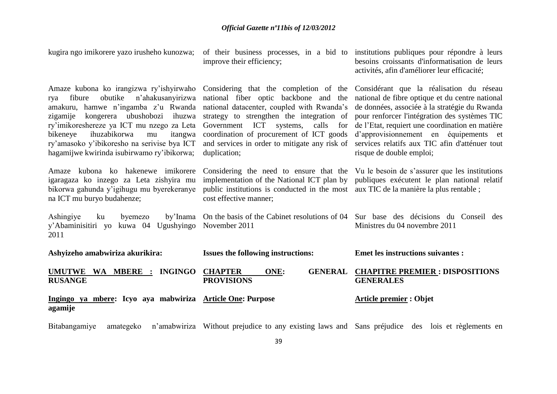| kugira ngo imikorere yazo irusheho kunozwa;                                                                                                                                                                                                                                                                                                                                                              | improve their efficiency;                                                                                                                                                                                                                                                                | of their business processes, in a bid to institutions publiques pour répondre à leurs<br>besoins croissants d'informatisation de leurs<br>activités, afin d'améliorer leur efficacité;                                                                                                                                                                                  |
|----------------------------------------------------------------------------------------------------------------------------------------------------------------------------------------------------------------------------------------------------------------------------------------------------------------------------------------------------------------------------------------------------------|------------------------------------------------------------------------------------------------------------------------------------------------------------------------------------------------------------------------------------------------------------------------------------------|-------------------------------------------------------------------------------------------------------------------------------------------------------------------------------------------------------------------------------------------------------------------------------------------------------------------------------------------------------------------------|
| Amaze kubona ko irangizwa ry'ishyirwaho Considering that the completion of the<br>obutike<br>n'ahakusanyirizwa<br>fibure<br>rya<br>amakuru, hamwe n'ingamba z'u Rwanda<br>kongerera ubushobozi ihuzwa<br>zigamije<br>ry'imikoreshereze ya ICT mu nzego za Leta<br>ihuzabikorwa<br>itangwa<br>bikeneye<br>mu<br>ry'amasoko y'ibikoresho na serivise bya ICT<br>hagamijwe kwirinda isubirwamo ry'ibikorwa; | national fiber optic backbone and the<br>national datacenter, coupled with Rwanda's<br>strategy to strengthen the integration of<br>Government ICT systems,<br>calls<br>for<br>coordination of procurement of ICT goods<br>and services in order to mitigate any risk of<br>duplication; | Considérant que la réalisation du réseau<br>national de fibre optique et du centre national<br>de données, associée à la stratégie du Rwanda<br>pour renforcer l'intégration des systèmes TIC<br>de l'Etat, requiert une coordination en matière<br>d'approvisionnement en équipements et<br>services relatifs aux TIC afin d'atténuer tout<br>risque de double emploi; |
| Amaze kubona ko hakenewe imikorere<br>igaragaza ko inzego za Leta zishyira mu<br>bikorwa gahunda y'igihugu mu byerekeranye<br>na ICT mu buryo budahenze;                                                                                                                                                                                                                                                 | implementation of the National ICT plan by<br>public institutions is conducted in the most aux TIC de la manière la plus rentable;<br>cost effective manner;                                                                                                                             | Considering the need to ensure that the Vu le besoin de s'assurer que les institutions<br>publiques exécutent le plan national relatif                                                                                                                                                                                                                                  |
| Ashingiye<br>ku<br>byemezo<br>kuwa 04 Ugushyingo November 2011<br>y'Abaminisitiri yo<br>2011                                                                                                                                                                                                                                                                                                             | by Inama On the basis of the Cabinet resolutions of 04                                                                                                                                                                                                                                   | Sur base des décisions du Conseil des<br>Ministres du 04 novembre 2011                                                                                                                                                                                                                                                                                                  |
| Ashyizeho amabwiriza akurikira:                                                                                                                                                                                                                                                                                                                                                                          | <b>Issues the following instructions:</b>                                                                                                                                                                                                                                                | <b>Emet les instructions suivantes :</b>                                                                                                                                                                                                                                                                                                                                |
| UMUTWE WA MBERE : INGINGO<br><b>RUSANGE</b>                                                                                                                                                                                                                                                                                                                                                              | <b>CHAPTER</b><br>ONE:<br><b>GENERAL</b><br><b>PROVISIONS</b>                                                                                                                                                                                                                            | <b>CHAPITRE PREMIER: DISPOSITIONS</b><br><b>GENERALES</b>                                                                                                                                                                                                                                                                                                               |
| Ingingo ya mbere: Icyo aya mabwiriza Article One: Purpose<br>agamije                                                                                                                                                                                                                                                                                                                                     |                                                                                                                                                                                                                                                                                          | <b>Article premier: Objet</b>                                                                                                                                                                                                                                                                                                                                           |
| Bitabangamiye<br>amategeko                                                                                                                                                                                                                                                                                                                                                                               |                                                                                                                                                                                                                                                                                          | n'amabwiriza Without prejudice to any existing laws and Sans préjudice des lois et règlements en                                                                                                                                                                                                                                                                        |

39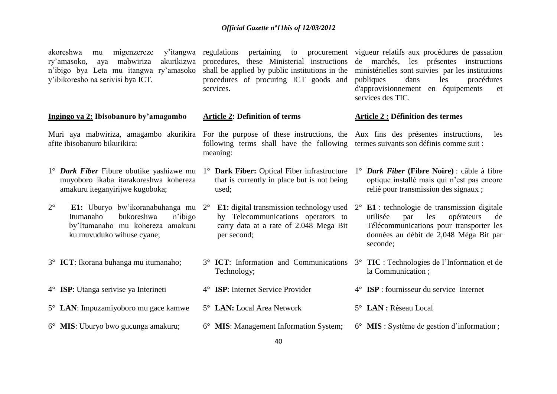| y'itangwa<br>akoreshwa<br>migenzereze<br>mu<br>mabwiriza<br>akurikizwa<br>ry'amasoko,<br>aya<br>n'ibigo bya Leta mu itangwa ry'amasoko<br>y'ibikoresho na serivisi bya ICT. | procedures, these Ministerial instructions<br>shall be applied by public institutions in the<br>procedures of procuring ICT goods and<br>services. | regulations pertaining to procurement vigueur relatifs aux procédures de passation<br>de marchés, les présentes instructions<br>ministérielles sont suivies par les institutions<br>publiques<br>dans<br>les<br>procédures<br>d'approvisionnement en équipements<br>et<br>services des TIC. |
|-----------------------------------------------------------------------------------------------------------------------------------------------------------------------------|----------------------------------------------------------------------------------------------------------------------------------------------------|---------------------------------------------------------------------------------------------------------------------------------------------------------------------------------------------------------------------------------------------------------------------------------------------|
| Ingingo ya 2: Ibisobanuro by'amagambo                                                                                                                                       | <b>Article 2: Definition of terms</b>                                                                                                              | <b>Article 2 : Définition des termes</b>                                                                                                                                                                                                                                                    |
| Muri aya mabwiriza, amagambo akurikira For the purpose of these instructions, the Aux fins des présentes instructions,<br>afite ibisobanuro bikurikira:                     | following terms shall have the following termes suivants son définis comme suit :<br>meaning:                                                      | les                                                                                                                                                                                                                                                                                         |
| $1^{\circ}$ <i>Dark Fiber</i> Fibure obutike yashizwe mu<br>muyoboro ikaba itarakoreshwa kohereza<br>amakuru iteganyirijwe kugoboka;                                        | 1° Dark Fiber: Optical Fiber infrastructure<br>that is currently in place but is not being<br>used;                                                | $1^{\circ}$ <i>Dark Fiber</i> (Fibre Noire) : câble à fibre<br>optique installé mais qui n'est pas encore<br>relié pour transmission des signaux;                                                                                                                                           |
| $2^{\circ}$<br>E1: Uburyo bw'ikoranabuhanga mu 2°<br>Itumanaho<br>bukoreshwa<br>n'ibigo<br>by'Itumanaho mu kohereza amakuru<br>ku muvuduko wihuse cyane;                    | by Telecommunications operators to<br>carry data at a rate of 2.048 Mega Bit<br>per second;                                                        | <b>E1:</b> digital transmission technology used $2^{\circ}$ <b>E1</b> : technologie de transmission digitale<br>utilisée<br>les<br>opérateurs<br>de<br>par<br>Télécommunications pour transporter les<br>données au débit de 2,048 Méga Bit par<br>seconde;                                 |
| 3° <b>ICT</b> : Ikorana buhanga mu itumanaho;                                                                                                                               | Technology;                                                                                                                                        | 3° ICT: Information and Communications 3° TIC: Technologies de l'Information et de<br>la Communication;                                                                                                                                                                                     |
| 4° <b>ISP</b> : Utanga serivise ya Interineti                                                                                                                               | 4° <b>ISP</b> : Internet Service Provider                                                                                                          | $4^{\circ}$ ISP : fournisseur du service Internet                                                                                                                                                                                                                                           |
| 5° LAN: Impuzamiyoboro mu gace kamwe                                                                                                                                        | 5° LAN: Local Area Network                                                                                                                         | 5° LAN : Réseau Local                                                                                                                                                                                                                                                                       |
| <b>MIS</b> : Uburyo bwo gucunga amakuru;<br>$6^{\circ}$                                                                                                                     | 6° MIS: Management Information System;                                                                                                             | 6° MIS : Système de gestion d'information ;                                                                                                                                                                                                                                                 |
|                                                                                                                                                                             | 40                                                                                                                                                 |                                                                                                                                                                                                                                                                                             |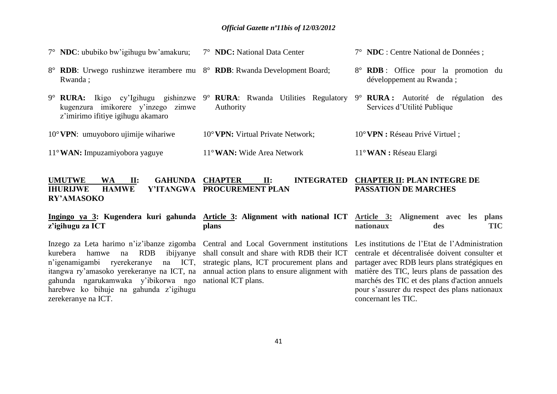|                                         | $7^{\circ}$ NDC: ububiko bw'igihugu bw'amakuru;                                                                                                                                         | 7° <b>NDC:</b> National Data Center | 7° NDC : Centre National de Données ;                                   |
|-----------------------------------------|-----------------------------------------------------------------------------------------------------------------------------------------------------------------------------------------|-------------------------------------|-------------------------------------------------------------------------|
|                                         | 8° <b>RDB</b> : Urwego rushinzwe iterambere mu 8° <b>RDB</b> : Rwanda Development Board;<br>Rwanda;                                                                                     |                                     | 8° <b>RDB</b> : Office pour la promotion du<br>développement au Rwanda; |
|                                         | 9° RURA: Ikigo cy'lgihugu gishinzwe 9° RURA: Rwanda Utilities Regulatory 9° RURA: Autorité de régulation des<br>kugenzura imikorere y'inzego zimwe<br>z'imirimo ifitiye igihugu akamaro | Authority                           | Services d'Utilité Publique                                             |
|                                         | $10^{\circ}$ VPN: umuyoboro ujimije wihariwe                                                                                                                                            | 10° VPN: Virtual Private Network;   | $10^{\circ}$ VPN : Réseau Privé Virtuel;                                |
| $11^{\circ}$ WAN: Impuzamiyobora yaguye |                                                                                                                                                                                         | $11^{\circ}$ WAN: Wide Area Network | $11^{\circ}$ WAN : Réseau Elargi                                        |
|                                         |                                                                                                                                                                                         |                                     |                                                                         |

#### **UMUTWE WA II: GAHUNDA CHAPTER**<br>**IHURLIWE HAMWE Y'ITANGWA PROCURE IHURIJWE HAMWE Y'ITANGWA PROCUREMENT PLAN RY'AMASOKO CHAPTER II: INTEGRATED CHAPTER II: PLAN INTEGRE DE PASSATION DE MARCHES**

#### **Ingingo ya 3: Kugendera kuri gahunda Article 3: Alignment with national ICT z'igihugu za ICT plans Article 3: Alignement avec les plans nationaux des TIC**

Inzego za Leta harimo n"iz"ibanze zigomba Central and Local Government institutions kurebera hamwe na RDB n"igenamigambi ryerekeranye na ICT, strategic plans, ICT procurement plans and itangwa ry"amasoko yerekeranye na ICT, na annual action plans to ensure alignment with gahunda ngarukamwaka y"ibikorwa ngo national ICT plans. harebwe ko bihuje na gahunda z"igihugu zerekeranye na ICT.

ibijvanve shall consult and share with RDB their ICT

Les institutions de l"Etat de l"Administration centrale et décentralisée doivent consulter et partager avec RDB leurs plans stratégiques en matière des TIC, leurs plans de passation des marchés des TIC et des plans d'action annuels pour s"assurer du respect des plans nationaux concernant les TIC.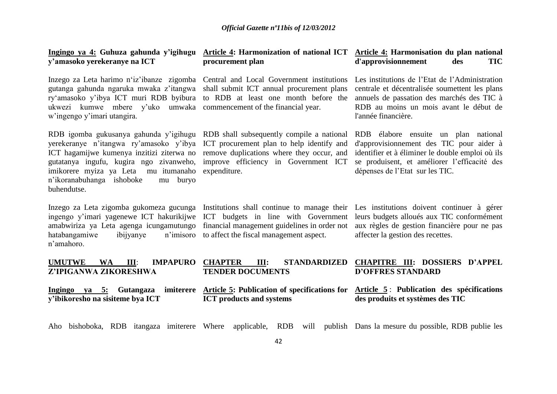| Ingingo ya 4: Guhuza gahunda y'igihugu<br>y'amasoko yerekeranye na ICT                                                                                                                                                                                                         | procurement plan                                                                                                                                                                            | Article 4: Harmonization of national ICT Article 4: Harmonisation du plan national<br>d'approvisionnement<br><b>TIC</b><br>des                                                                                            |
|--------------------------------------------------------------------------------------------------------------------------------------------------------------------------------------------------------------------------------------------------------------------------------|---------------------------------------------------------------------------------------------------------------------------------------------------------------------------------------------|---------------------------------------------------------------------------------------------------------------------------------------------------------------------------------------------------------------------------|
| Inzego za Leta harimo n'iz'ibanze zigomba Central and Local Government institutions<br>gutanga gahunda ngaruka mwaka z'itangwa<br>ry'amasoko y'ibya ICT muri RDB byibura<br>ukwezi kumwe mbere y'uko umwaka commencement of the financial year.<br>w'ingengo y'imari utangira. | shall submit ICT annual procurement plans<br>to RDB at least one month before the                                                                                                           | Les institutions de l'Etat de l'Administration<br>centrale et décentralisée soumettent les plans<br>annuels de passation des marchés des TIC à<br>RDB au moins un mois avant le début de<br>l'année financière.           |
| RDB igomba gukusanya gahunda y'igihugu<br>yerekeranye n'itangwa ry'amasoko y'ibya<br>ICT hagamijwe kumenya inzitizi ziterwa no<br>gutatanya ingufu, kugira ngo zivanweho,<br>imikorere myiza ya Leta mu itumanaho<br>n'ikoranabuhanga ishoboke<br>buryo<br>mu<br>buhendutse.   | RDB shall subsequently compile a national<br>ICT procurement plan to help identify and<br>remove duplications where they occur, and<br>improve efficiency in Government ICT<br>expenditure. | RDB élabore ensuite un plan national<br>d'approvisionnement des TIC pour aider à<br>identifier et à éliminer le double emploi où ils<br>se produisent, et améliorer l'efficacité des<br>dépenses de l'Etat sur les TIC.   |
| Inzego za Leta zigomba gukomeza gucunga<br>ingengo y'imari yagenewe ICT hakurikijwe<br>amabwiriza ya Leta agenga icungamutungo<br>hatabangamiwe<br>ibijyanye<br>n'imisoro<br>n'amahoro.                                                                                        | ICT budgets in line with Government<br>financial management guidelines in order not<br>to affect the fiscal management aspect.                                                              | Institutions shall continue to manage their Les institutions doivent continuer à gérer<br>leurs budgets alloués aux TIC conformément<br>aux règles de gestion financière pour ne pas<br>affecter la gestion des recettes. |
| <b>UMUTWE</b><br><b>WA</b><br>III:<br><b>IMPAPURO</b><br>Z'IPIGANWA ZIKORESHWA                                                                                                                                                                                                 | <b>CHAPTER</b><br>III:<br><b>STANDARDIZED</b><br><b>TENDER DOCUMENTS</b>                                                                                                                    | <b>CHAPITRE III: DOSSIERS D'APPEL</b><br><b>D'OFFRES STANDARD</b>                                                                                                                                                         |
| Ingingo ya 5: Gutangaza imiterere<br>y'ibikoresho na sisiteme bya ICT                                                                                                                                                                                                          | <b>ICT</b> products and systems                                                                                                                                                             | Article 5: Publication of specifications for Article 5: Publication des spécifications<br>des produits et systèmes des TIC                                                                                                |
| Aho bishoboka, RDB itangaza imiterere Where                                                                                                                                                                                                                                    | applicable,                                                                                                                                                                                 | RDB will publish Dans la mesure du possible, RDB publie les                                                                                                                                                               |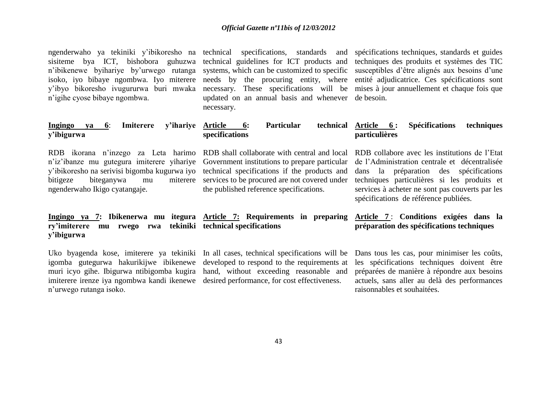ngenderwaho ya tekiniki y'ibikoresho na technical specifications, standards and spécifications techniques, standards et guides sisiteme bya ICT, bishobora guhuzwa technical guidelines for ICT products and techniques des produits et systèmes des TIC n'ibikenewe byihariye by'urwego rutanga systems, which can be customized to specific susceptibles d'être alignés aux besoins d'une isoko, iyo bibaye ngombwa. Iyo miterere needs by the procuring entity, where entité adjudicatrice. Ces spécifications sont y"ibyo bikoresho ivugururwa buri mwaka necessary. These specifications will be mises à jour annuellement et chaque fois que n"igihe cyose bibaye ngombwa.

updated on an annual basis and whenever de besoin. necessary.

| Ingingo ya 6: Imiterere y'ihariye Article 6: | Particular                              | technical Article 6: Spécifications techniques                                                                                         |
|----------------------------------------------|-----------------------------------------|----------------------------------------------------------------------------------------------------------------------------------------|
| y'ibigurwa                                   | specifications                          | <i>particulières</i>                                                                                                                   |
|                                              |                                         | RDB ikorana n'inzego za Leta harimo RDB shall collaborate with central and local RDB collabore avec les institutions de l'Etat         |
|                                              |                                         | n'iz'ibanze mu gutegura imiterere yihariye Government institutions to prepare particular de l'Administration centrale et décentralisée |
|                                              |                                         | y'ibikoresho na serivisi bigomba kugurwa iyo technical specifications if the products and dans la préparation des spécifications       |
| bitigeze                                     |                                         | biteganywa mu miterere services to be procured are not covered under techniques particulières si les produits et                       |
| ngenderwaho Ikigo cyatangaje.                | the published reference specifications. | services à acheter ne sont pas couverts par les                                                                                        |

**ry'imiterere mu rwego rwa tekiniki technical specifications y'ibigurwa** 

muri icyo gihe. Ibigurwa ntibigomba kugira hand, without exceeding reasonable and imiterere irenze iya ngombwa kandi ikenewe desired performance, for cost effectiveness. n"urwego rutanga isoko.

**Ingingo ya 7: Ibikenerwa mu itegura Article 7: Requirements in preparing Article 7** : **Conditions exigées dans la** 

# **préparation des spécifications techniques**

spécifications de référence publiées.

Uko byagenda kose, imiterere ya tekiniki In all cases, technical specifications will be Dans tous les cas, pour minimiser les coûts, igomba gutegurwa hakurikijwe ibikenewe developed to respond to the requirements at les spécifications techniques doivent être préparées de manière à répondre aux besoins actuels, sans aller au delà des performances raisonnables et souhaitées.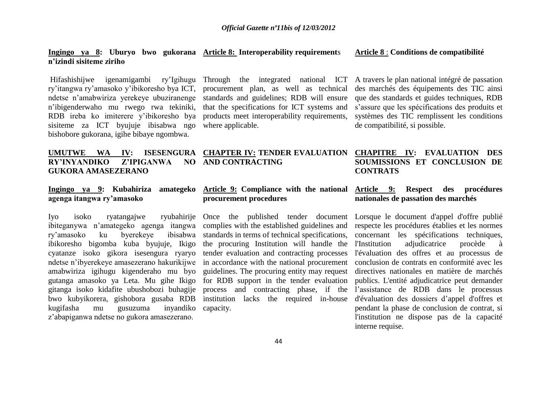#### **Ingingo ya 8: Uburyo bwo gukorana Article 8: Interoperability requirement**s **n'izindi sisiteme ziriho**

Hifashishijwe igenamigambi ry"Igihugu Through the integrated national ICT A travers le plan national intégré de passation ry"itangwa ry"amasoko y"ibikoresho bya ICT, procurement plan, as well as technical ndetse n"amabwiriza yerekeye ubuziranenge standards and guidelines; RDB will ensure n"ibigenderwaho mu rwego rwa tekiniki, RDB ireba ko imiterere y"ibikoresho bya products meet interoperability requirements, sisiteme za ICT byujuje ibisabwa ngo where applicable. bishobore gukorana, igihe bibaye ngombwa.

that the specifications for ICT systems and

# **AND CONTRACTING**

## **agenga itangwa ry'amasoko**

RY'INYANDIKO Z'IPIGANWA

**GUKORA AMASEZERANO**

Iyo isoko ryatangajwe ibiteganywa n"amategeko agenga itangwa complies with the established guidelines and respecte les procédures établies et les normes ry'amasoko ku byerekeye ibikoresho bigomba kuba byujuje, Ikigo cyatanze isoko gikora isesengura ryaryo ndetse n"ibyerekeye amasezerano hakurikijwe in accordance with the national procurement amabwiriza igihugu kigenderaho mu byo gitanga isoko kidafite ubushobozi buhagije bwo kubyikorera, gishobora gusaba RDB institution lacks the required in-house kugifasha mu gusuzuma inyandiko z"abapiganwa ndetse no gukora amasezerano.

# **procurement procedures**

ibisabwa standards in terms of technical specifications, the procuring Institution will handle the tender evaluation and contracting processes guidelines. The procuring entity may request capacity.

#### **Article 8** : **Conditions de compatibilité**

des marchés des équipements des TIC ainsi que des standards et guides techniques, RDB s"assure que les spécifications des produits et systèmes des TIC remplissent les conditions de compatibilité, si possible.

#### **UMUTWE WA IV: ISESENGURA CHAPTER IV: TENDER EVALUATION CHAPITRE IV: EVALUATION DES SOUMISSIONS ET CONCLUSION DE CONTRATS**

#### **Ingingo ya 9: Kubahiriza amategeko Article 9: Compliance with the national Article 9: Respect des procédures nationales de passation des marchés**

gutanga amasoko ya Leta. Mu gihe Ikigo for RDB support in the tender evaluation publics. L'entité adjudicatrice peut demander Once the published tender document Lorsque le document d'appel d'offre publié process and contracting phase, if the l"assistance de RDB dans le processus concernant les spécifications techniques, adjudicatrice procède à l'évaluation des offres et au processus de conclusion de contrats en conformité avec les directives nationales en matière de marchés d'évaluation des dossiers d"appel d'offres et pendant la phase de conclusion de contrat, si l'institution ne dispose pas de la capacité interne requise.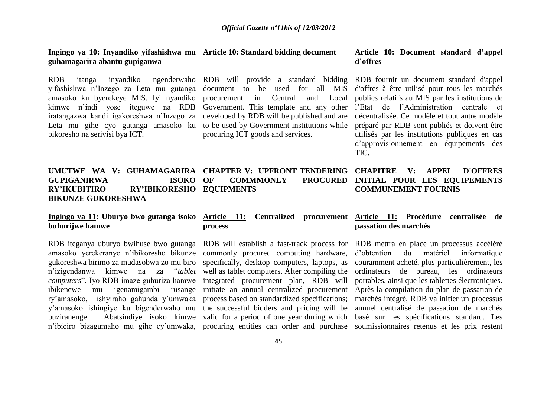#### **Ingingo ya 10: Inyandiko yifashishwa mu Article 10: Standard bidding document guhamagarira abantu gupiganwa**

RDB itanga inyandiko ngenderwaho RDB will provide a standard bidding RDB fournit un document standard d'appel yifashishwa n"Inzego za Leta mu gutanga amasoko ku byerekeye MIS. Iyi nyandiko kimwe n"indi yose iteguwe na RDB Government. This template and any other l"Etat de l"Administration centrale et iratangazwa kandi igakoreshwa n"Inzego za developed by RDB will be published and are décentralisée. Ce modèle et tout autre modèle Leta mu gihe cyo gutanga amasoko ku to be used by Government institutions while préparé par RDB sont publiés et doivent être bikoresho na serivisi bya ICT.

procuring ICT goods and services.

#### **Article 10: Document standard d'appel d'offres**

document to be used for all MIS d'offres à être utilisé pour tous les marchés procurement in Central and Local publics relatifs au MIS par les institutions de utilisés par les institutions publiques en cas d"approvisionnement en équipements des TIC.

#### **UMUTWE WA V: GUHAMAGARIRA CHAPTER V: UPFRONT TENDERING GUPIGANIRWA ISOKO RY'IKUBITIRO RY'IBIKORESHO EQUIPMENTS BIKUNZE GUKORESHWA COMMMONLY CHAPITRE V: APPEL D'OFFRES**  PROCURED INITIAL POUR LES EQUIPEMENTS **COMMUNEMENT FOURNIS**

# **buhurijwe hamwe**

RDB iteganya uburyo bwihuse bwo gutanga RDB will establish a fast-track process for RDB mettra en place un processus accéléré amasoko yerekeranye n"ibikoresho bikunze commonly procured computing hardware, y"amasoko ishingiye ku bigenderwaho mu the successful bidders and pricing will be buziranenge. Abatsindiye isoko kimwe valid for a period of one year during which n"ibiciro bizagumaho mu gihe cy"umwaka, procuring entities can order and purchase soumissionnaires retenus et les prix restent

# **process**

#### **Ingingo ya 11: Uburyo bwo gutanga isoko Article 11: Centralized procurement Article 11: Procédure centralisée de passation des marchés**

gukoreshwa birimo za mudasobwa zo mu biro specifically, desktop computers, laptops, as couramment acheté, plus particulièrement, les n"izigendanwa kimwe na za "*tablet*  well as tablet computers. After compiling the ordinateurs de bureau, les ordinateurs computers". Iyo RDB imaze guhuriza hamwe integrated procurement plan, RDB will portables, ainsi que les tablettes électroniques. ibikenewe mu igenamigambi rusange initiate an annual centralized procurement Après la compilation du plan de passation de ry'amasoko, ishyiraho gahunda y'umwaka process based on standardized specifications; marchés intégré, RDB va initier un processus d"obtention du matériel informatique annuel centralisé de passation de marchés basé sur les spécifications standard. Les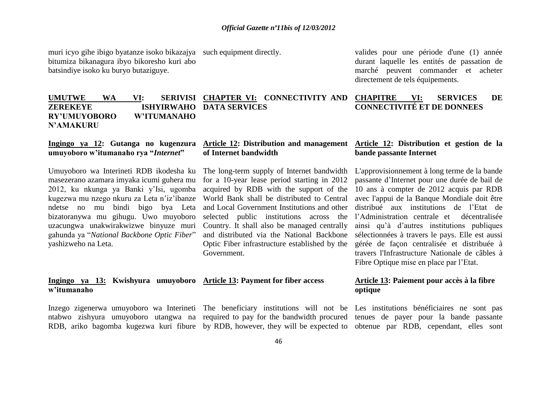muri icyo gihe ibigo byatanze isoko bikazajya such equipment directly. bitumiza bikanagura ibyo bikoresho kuri abo batsindiye isoko ku buryo butaziguye.

valides pour une période d'une (1) année durant laquelle les entités de passation de marché peuvent commander et acheter directement de tels équipements.

#### UMUTWE WA VI: **ZEREKEYE ISHYIRWAHO DATA SERVICES RY'UMUYOBORO W'ITUMANAHO SERIVISI CHAPTER VI: CONNECTIVITY AND CHAPITRE VI: SERVICES DE CONNECTIVITÉ ET DE DONNEES**

## **umuyoboro w'itumanaho rya "***Internet***"**

**N'AMAKURU** 

Umuyoboro wa Interineti RDB ikodesha ku The long-term supply of Internet bandwidth L'approvisionnement à long terme de la bande masezerano azamara imyaka icumi guhera mu 2012, ku nkunga ya Banki y"Isi, ugomba kugezwa mu nzego nkuru za Leta n"iz"ibanze ndetse no mu bindi bigo bya Leta bizatoranywa mu gihugu. Uwo muyoboro uzacungwa unakwirakwizwe binyuze muri gahunda ya "*National Backbone Optic Fiber*" yashizweho na Leta.

#### **Ingingo ya 12: Gutanga no kugenzura Article 12: Distribution and management Article 12: Distribution et gestion de la of Internet bandwidth**

for a 10-year lease period starting in 2012 World Bank shall be distributed to Central and Local Government Institutions and other Country. It shall also be managed centrally and distributed via the National Backbone Optic Fiber infrastructure established by the Government.

#### **Ingingo ya 13: Kwishyura umuyoboro Article 13: Payment for fiber access w'itumanaho**

Inzego zigenerwa umuyoboro wa Interineti The beneficiary institutions will not be Les institutions bénéficiaires ne sont pas

ntabwo zishyura umuyoboro utangwa na required to pay for the bandwidth procured tenues de payer pour la bande passante RDB, ariko bagomba kugezwa kuri fibure by RDB, however, they will be expected to obtenue par RDB, cependant, elles sont

# **bande passante Internet**

acquired by RDB with the support of the 10 ans à compter de 2012 acquis par RDB selected public institutions across the l'Administration centrale et décentralisée passante d"Internet pour une durée de bail de avec l'appui de la Banque Mondiale doit être distribué aux institutions de l"Etat de ainsi qu"à d"autres institutions publiques sélectionnées à travers le pays. Elle est aussi gérée de façon centralisée et distribuée à travers l'Infrastructure Nationale de câbles à Fibre Optique mise en place par l"Etat.

#### **Article 13: Paiement pour accès à la fibre optique**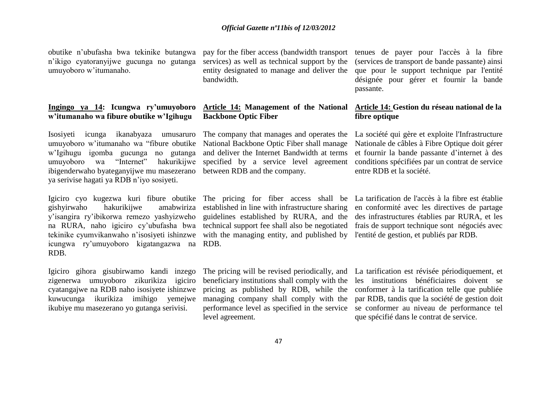obutike n"ubufasha bwa tekinike butangwa n"ikigo cyatoranyijwe gucunga no gutanga umuyoboro w"itumanaho.

#### **Ingingo ya 14: Icungwa ry'umuyoboro w'itumanaho wa fibure obutike w'Igihugu**

Isosiyeti icunga ikanabyaza umusaruro umuyoboro w"itumanaho wa "fibure obutike w"Igihugu igomba gucunga no gutanga umuyoboro wa "Internet" hakurikijwe ibigenderwaho byateganyijwe mu masezerano ya serivise hagati ya RDB n"iyo sosiyeti.

gishyirwaho hakurikijwe amabwiriza y"isangira ry"ibikorwa remezo yashyizweho na RURA, naho igiciro cy'ubufasha bwa technical support fee shall also be negotiated frais de support technique sont négociés avec tekinike cyumvikanwaho n"isosiyeti ishinzwe icungwa ry"umuyoboro kigatangazwa na RDB. RDB.

Igiciro gihora gisubirwamo kandi inzego zigenerwa umuyoboro zikurikiza igiciro cyatangajwe na RDB naho isosiyete ishinzwe ikubiye mu masezerano yo gutanga serivisi.

services) as well as technical support by the entity designated to manage and deliver the bandwidth.

#### **Article 14: Management of the National Backbone Optic Fiber**

National Backbone Optic Fiber shall manage and deliver the Internet Bandwidth at terms specified by a service level agreement between RDB and the company.

established in line with infrastructure sharing guidelines established by RURA, and the with the managing entity, and published by l'entité de gestion, et publiés par RDB.

pay for the fiber access (bandwidth transport tenues de payer pour l'accès à la fibre (services de transport de bande passante) ainsi que pour le support technique par l'entité désignée pour gérer et fournir la bande passante.

#### **Article 14: Gestion du réseau national de la fibre optique**

The company that manages and operates the La société qui gère et exploite l'Infrastructure Nationale de câbles à Fibre Optique doit gérer et fournir la bande passante d"internet à des conditions spécifiées par un contrat de service entre RDB et la société.

Igiciro cyo kugezwa kuri fibure obutike The pricing for fiber access shall be La tarification de l'accès à la fibre est établie en conformité avec les directives de partage des infrastructures établies par RURA, et les

level agreement.

kuwucunga ikurikiza imihigo yemejwe managing company shall comply with the par RDB, tandis que la société de gestion doit The pricing will be revised periodically, and La tarification est révisée périodiquement, et beneficiary institutions shall comply with the les institutions bénéficiaires doivent se pricing as published by RDB, while the conformer à la tarification telle que publiée performance level as specified in the service se conformer au niveau de performance tel que spécifié dans le contrat de service.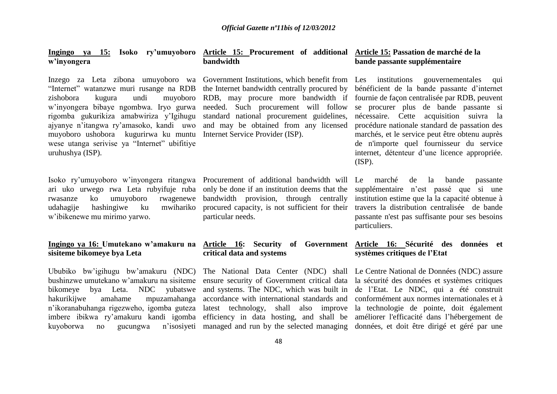# **w'inyongera**

Inzego za Leta zibona umuyoboro wa Government-Institutions, which-benefit-from Les institutions gouvernementales qui w"inyongera bibaye ngombwa. Iryo gurwa rigomba gukurikiza amabwiriza y"Igihugu ajyanye n"itangwa ry"amasoko, kandi uwo and may be obtained from any licensed muyoboro ushobora kugurirwa ku muntu Internet Service Provider (ISP). wese utanga serivise ya "Internet" ubifitiye uruhushya (ISP).

ari uko urwego rwa Leta rubyifuje ruba only be done if an institution deems that the rwasanze ko umuyoboro rwagenewe udahagije hashingiwe ku mwihariko w"ibikenewe mu mirimo yarwo.

# **sisiteme bikomeye bya Leta**

Ububiko bw"igihugu bw"amakuru (NDC) The National Data Center (NDC) shall Le Centre National de Données (NDC) assure bushinzwe umutekano w'amakuru na sisiteme ensure security of Government critical data la sécurité des données et systèmes critiques bikomeye bya Leta. NDC yubatswe hakurikijwe amahame mpuzamahanga accordance with international standards and conformément aux normes internationales et à n"ikoranabuhanga rigezweho, igomba guteza latest technology, shall also improve la technologie de pointe, doit également imbere ibikwa ry'amakuru kandi igomba efficiency in data hosting, and shall be améliorer l'efficacité dans l'hébergement de kuyoborwa no gucungwa

#### **Ingingo ya 15: Isoko ry'umuyoboro Article 15: Procurement of additional Article 15: Passation de marché de la bandwidth**

needed. Such procurement will follow standard national procurement guidelines,

Isoko ry"umuyoboro w"inyongera ritangwa Procurement of additional bandwidth will bandwidth provision, through centrally procured capacity, is not sufficient for their particular needs.

# **critical data and systems**

# **bande passante supplémentaire**

"Internet" watanzwe muri rusange na RDB the Internet bandwidth centrally procured by bénéficient de la bande passante d'internet zishobora kugura undi muyoboro RDB, may procure more bandwidth if fournie de façon centralisée par RDB, peuvent se procurer plus de bande passante si nécessaire. Cette acquisition suivra la procédure nationale standard de passation des marchés, et le service peut être obtenu auprès de n'importe quel fournisseur du service internet, détenteur d"une licence appropriée. (ISP).

> marché de la bande passante supplémentaire n"est passé que si une institution estime que la la capacité obtenue à travers la distribution centralisée de bande passante n'est pas suffisante pour ses besoins particuliers.

#### **Ingingo ya 16: Umutekano w'amakuru na Article 16: Security of Government Article 16: Sécurité des données et systèmes critiques de l'Etat**

and systems. The NDC, which was built in de l"Etat. Le NDC, qui a été construit managed and run by the selected managing données, et doit être dirigé et géré par une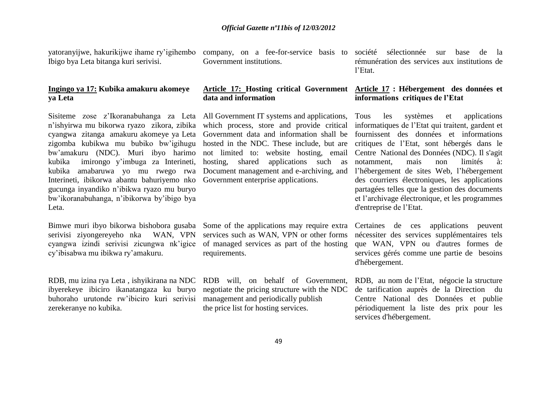Ibigo bya Leta bitanga kuri serivisi.

#### **Ingingo ya 17: Kubika amakuru akomeye ya Leta**

Sisiteme zose z"Ikoranabuhanga za Leta All Government IT systems and applications, n"ishyirwa mu bikorwa ryazo zikora, zibika which process, store and provide critical cyangwa zitanga amakuru akomeye ya Leta Government data and information shall be zigomba kubikwa mu bubiko bw"igihugu bw"amakuru (NDC). Muri ibyo harimo kubika imirongo y"imbuga za Interineti, kubika amabaruwa yo mu rwego rwa Interineti, ibikorwa abantu bahuriyemo nko Government enterprise applications. gucunga inyandiko n"ibikwa ryazo mu buryo bw"ikoranabuhanga, n"ibikorwa by"ibigo bya Leta.

Bimwe muri ibyo bikorwa bishobora gusaba Some of the applications may require extra serivisi ziyongereyeho nka WAN, VPN cyangwa izindi serivisi zicungwa nk"igice cy"ibisabwa mu ibikwa ry"amakuru.

RDB, mu izina rya Leta , ishyikirana na NDC RDB will, on behalf of Government, ibyerekeye ibiciro ikanatangaza ku buryo buhoraho urutonde rw"ibiciro kuri serivisi management and periodically publish zerekeranye no kubika.

Government institutions.

# **data and information**

hosted in the NDC. These include, but are hosting, shared applications such as Document management and e-archiving, and

services such as WAN, VPN or other forms of managed services as part of the hosting requirements.

negotiate the pricing structure with the NDC the price list for hosting services.

yatoranyijwe, hakurikijwe ihame ry"igihembo company, on a fee-for-service basis to société sélectionnée sur base de la rémunération des services aux institutions de l"Etat.

#### **Article 17: Hosting critical Government Article 17 : Hébergement des données et informations critiques de l'Etat**

not limited to: website hosting, email Centre National des Données (NDC). Il s'agit les systèmes et applications informatiques de l"Etat qui traitent, gardent et fournissent des données et informations critiques de l"Etat, sont hébergés dans le notamment, mais non limités à: l"hébergement de sites Web, l"hébergement des courriers électroniques, les applications partagées telles que la gestion des documents et l"archivage électronique, et les programmes d'entreprise de l"Etat.

> Certaines de ces applications peuvent nécessiter des services supplémentaires tels que WAN, VPN ou d'autres formes de services gérés comme une partie de besoins d'hébergement.

> RDB, au nom de l"Etat, négocie la structure de tarification auprès de la Direction du Centre National des Données et publie périodiquement la liste des prix pour les services d'hébergement.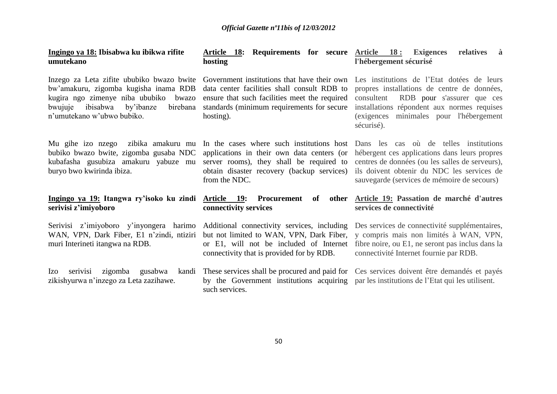| Ingingo ya 18: Ibisabwa ku ibikwa rifite<br>umutekano                                                                                                                                                        | <b>Article 18: Requirements for secure</b><br>hosting                                                                                                                                                  | <u>Article 18:</u><br><b>Exigences</b><br>relatives<br>à<br>l'hébergement sécurisé                                                                                                                                                                                                |
|--------------------------------------------------------------------------------------------------------------------------------------------------------------------------------------------------------------|--------------------------------------------------------------------------------------------------------------------------------------------------------------------------------------------------------|-----------------------------------------------------------------------------------------------------------------------------------------------------------------------------------------------------------------------------------------------------------------------------------|
| Inzego za Leta zifite ububiko bwazo bwite<br>bw'amakuru, zigomba kugisha inama RDB<br>kugira ngo zimenye niba ububiko<br>bwazo<br>ibisabwa<br>by'ibanze<br>birebana<br>bwujuje<br>n'umutekano w'ubwo bubiko. | Government institutions that have their own<br>data center facilities shall consult RDB to<br>ensure that such facilities meet the required<br>standards (minimum requirements for secure<br>hosting). | Les institutions de l'Etat dotées de leurs<br>propres installations de centre de données,<br>consultent<br>RDB pour s'assurer que ces<br>installations répondent aux normes requises<br>minimales pour l'hébergement<br><i>(exigences)</i><br>sécurisé).                          |
| Mu gihe izo nzego zibika amakuru mu<br>bubiko bwazo bwite, zigomba gusaba NDC<br>kubafasha gusubiza amakuru yabuze mu<br>buryo bwo kwirinda ibiza.                                                           | applications in their own data centers (or<br>server rooms), they shall be required to<br>obtain disaster recovery (backup services)<br>from the NDC.                                                  | In the cases where such institutions host Dans les cas où de telles institutions<br>hébergent ces applications dans leurs propres<br>centres de données (ou les salles de serveurs),<br>ils doivent obtenir du NDC les services de<br>sauvegarde (services de mémoire de secours) |
| <u>Ingingo ya 19:</u> Itangwa ry'isoko ku zindi<br>serivisi z'imiyoboro                                                                                                                                      | <u>Article 19:</u><br>Procurement<br>of<br>other<br>connectivity services                                                                                                                              | Article 19: Passation de marché d'autres<br>services de connectivité                                                                                                                                                                                                              |
| Serivisi z'imiyoboro y'inyongera harimo<br>WAN, VPN, Dark Fiber, E1 n'zindi, ntiziri<br>muri Interineti itangwa na RDB.                                                                                      | Additional connectivity services, including<br>but not limited to WAN, VPN, Dark Fiber,<br>or E1, will not be included of Internet<br>connectivity that is provided for by RDB.                        | Des services de connectivité supplémentaires,<br>y compris mais non limités à WAN, VPN,<br>fibre noire, ou E1, ne seront pas inclus dans la<br>connectivité Internet fournie par RDB.                                                                                             |
| zigomba gusabwa<br>serivisi<br>kandi<br>Izo.<br>zikishyurwa n'inzego za Leta zazihawe.                                                                                                                       | by the Government institutions acquiring par les institutions de l'Etat qui les utilisent.<br>such services.                                                                                           | These services shall be procured and paid for Ces services doivent être demandés et payés                                                                                                                                                                                         |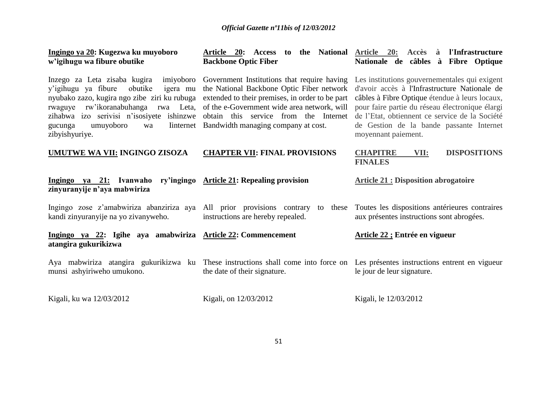| Ingingo ya 20: Kugezwa ku muyoboro<br>w'igihugu wa fibure obutike                                                                                                                                                                                                                     | Article 20: Access<br>to<br><b>Backbone Optic Fiber</b>                                                                                                                                                                     | Accès à<br>the National <u>Article 20:</u><br>l'Infrastructure<br>Nationale de câbles à Fibre Optique                                                                                                                                                                                                                                                                          |
|---------------------------------------------------------------------------------------------------------------------------------------------------------------------------------------------------------------------------------------------------------------------------------------|-----------------------------------------------------------------------------------------------------------------------------------------------------------------------------------------------------------------------------|--------------------------------------------------------------------------------------------------------------------------------------------------------------------------------------------------------------------------------------------------------------------------------------------------------------------------------------------------------------------------------|
| Inzego za Leta zisaba kugira<br>igera mu<br>y'igihugu ya fibure<br>obutike<br>nyubako zazo, kugira ngo zibe ziri ku rubuga<br>rw'ikoranabuhanga rwa Leta,<br>rwaguye<br>zihabwa izo serivisi n'isosiyete ishinzwe<br>umuyoboro<br><b>linternet</b><br>gucunga<br>wa<br>zibyishyuriye. | the National Backbone Optic Fiber network<br>extended to their premises, in order to be part<br>of the e-Government wide area network, will<br>obtain this service from the Internet<br>Bandwidth managing company at cost. | imiyoboro Government Institutions that require having Les institutions gouvernementales qui exigent<br>d'avoir accès à l'Infrastructure Nationale de<br>câbles à Fibre Optique étendue à leurs locaux,<br>pour faire partie du réseau électronique élargi<br>de l'Etat, obtiennent ce service de la Société<br>de Gestion de la bande passante Internet<br>moyennant paiement. |
| <b>UMUTWE WA VII: INGINGO ZISOZA</b>                                                                                                                                                                                                                                                  | <b>CHAPTER VII: FINAL PROVISIONS</b>                                                                                                                                                                                        | <b>CHAPITRE</b><br><b>DISPOSITIONS</b><br>VII:<br><b>FINALES</b>                                                                                                                                                                                                                                                                                                               |
| Ingingo ya 21: Ivanwaho ry'ingingo<br>zinyuranyije n'aya mabwiriza                                                                                                                                                                                                                    | <b>Article 21: Repealing provision</b>                                                                                                                                                                                      | <b>Article 21: Disposition abrogatoire</b>                                                                                                                                                                                                                                                                                                                                     |
| Ingingo zose z'amabwiriza abanziriza aya All prior provisions contrary to these<br>kandi zinyuranyije na yo zivanyweho.                                                                                                                                                               | instructions are hereby repealed.                                                                                                                                                                                           | Toutes les dispositions antérieures contraires<br>aux présentes instructions sont abrogées.                                                                                                                                                                                                                                                                                    |
| Ingingo ya 22: Igihe aya amabwiriza Article 22: Commencement<br>atangira gukurikizwa                                                                                                                                                                                                  |                                                                                                                                                                                                                             | Article 22 ; Entrée en vigueur                                                                                                                                                                                                                                                                                                                                                 |
| munsi ashyiriweho umukono.                                                                                                                                                                                                                                                            | the date of their signature.                                                                                                                                                                                                | Aya mabwiriza atangira gukurikizwa ku These instructions shall come into force on Les présentes instructions entrent en vigueur<br>le jour de leur signature.                                                                                                                                                                                                                  |
| Kigali, ku wa 12/03/2012                                                                                                                                                                                                                                                              | Kigali, on 12/03/2012                                                                                                                                                                                                       | Kigali, le 12/03/2012                                                                                                                                                                                                                                                                                                                                                          |